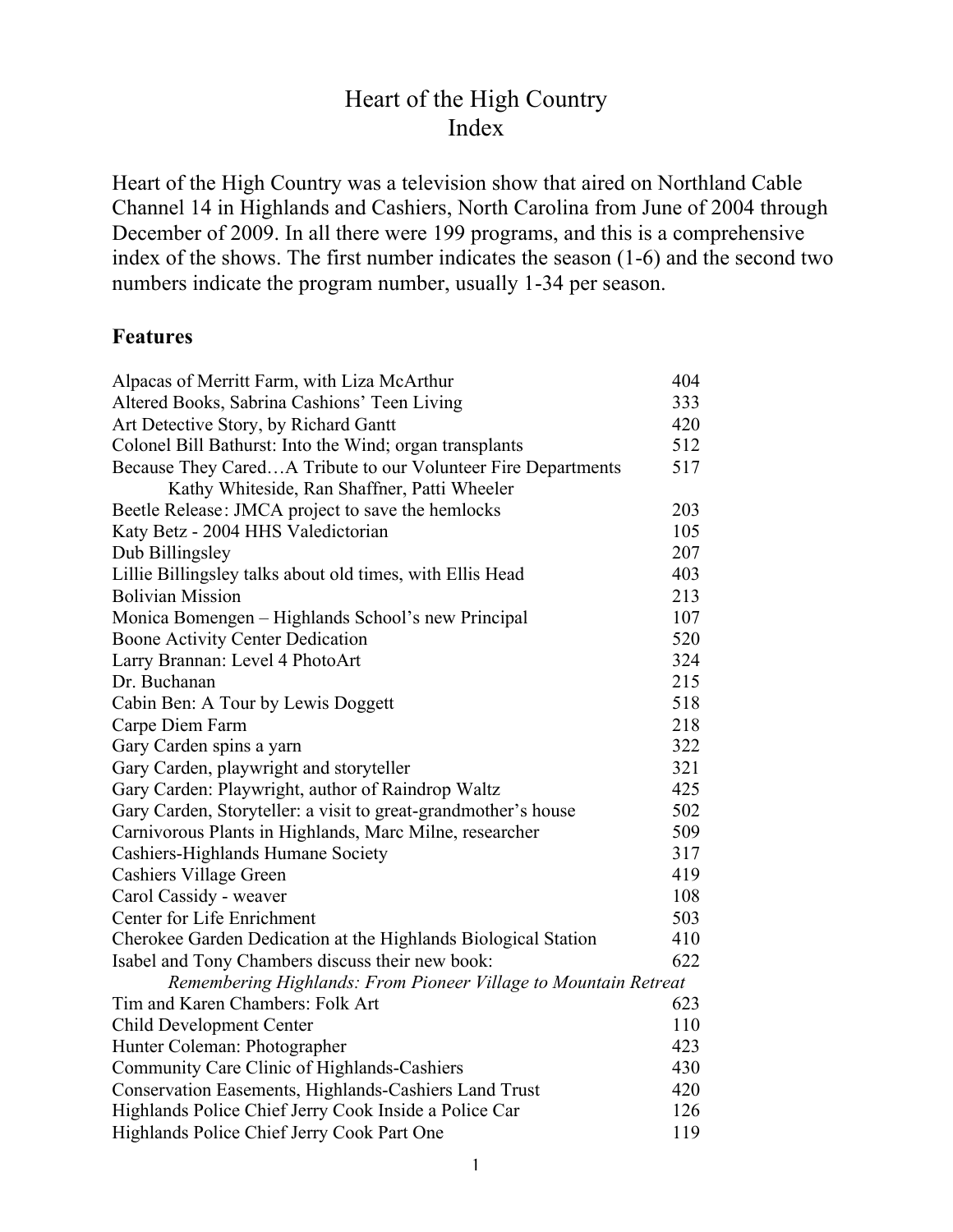### Heart of the High Country Index

Heart of the High Country was a television show that aired on Northland Cable Channel 14 in Highlands and Cashiers, North Carolina from June of 2004 through December of 2009. In all there were 199 programs, and this is a comprehensive index of the shows. The first number indicates the season (1-6) and the second two numbers indicate the program number, usually 1-34 per season.

### **Features**

| Alpacas of Merritt Farm, with Liza McArthur                     | 404 |
|-----------------------------------------------------------------|-----|
| Altered Books, Sabrina Cashions' Teen Living                    | 333 |
| Art Detective Story, by Richard Gantt                           | 420 |
| Colonel Bill Bathurst: Into the Wind; organ transplants         | 512 |
| Because They CaredA Tribute to our Volunteer Fire Departments   | 517 |
| Kathy Whiteside, Ran Shaffner, Patti Wheeler                    |     |
| Beetle Release: JMCA project to save the hemlocks               | 203 |
| Katy Betz - 2004 HHS Valedictorian                              | 105 |
| Dub Billingsley                                                 | 207 |
| Lillie Billingsley talks about old times, with Ellis Head       | 403 |
| <b>Bolivian Mission</b>                                         | 213 |
| Monica Bomengen - Highlands School's new Principal              | 107 |
| <b>Boone Activity Center Dedication</b>                         | 520 |
| Larry Brannan: Level 4 PhotoArt                                 | 324 |
| Dr. Buchanan                                                    | 215 |
| Cabin Ben: A Tour by Lewis Doggett                              | 518 |
| Carpe Diem Farm                                                 | 218 |
| Gary Carden spins a yarn                                        | 322 |
| Gary Carden, playwright and storyteller                         | 321 |
| Gary Carden: Playwright, author of Raindrop Waltz               | 425 |
| Gary Carden, Storyteller: a visit to great-grandmother's house  | 502 |
| Carnivorous Plants in Highlands, Marc Milne, researcher         | 509 |
| Cashiers-Highlands Humane Society                               | 317 |
| Cashiers Village Green                                          | 419 |
| Carol Cassidy - weaver                                          | 108 |
| Center for Life Enrichment                                      | 503 |
| Cherokee Garden Dedication at the Highlands Biological Station  | 410 |
| Isabel and Tony Chambers discuss their new book:                | 622 |
| Remembering Highlands: From Pioneer Village to Mountain Retreat |     |
| Tim and Karen Chambers: Folk Art                                | 623 |
| Child Development Center                                        | 110 |
| Hunter Coleman: Photographer                                    | 423 |
| Community Care Clinic of Highlands-Cashiers                     | 430 |
| Conservation Easements, Highlands-Cashiers Land Trust           | 420 |
| Highlands Police Chief Jerry Cook Inside a Police Car           | 126 |
| Highlands Police Chief Jerry Cook Part One                      | 119 |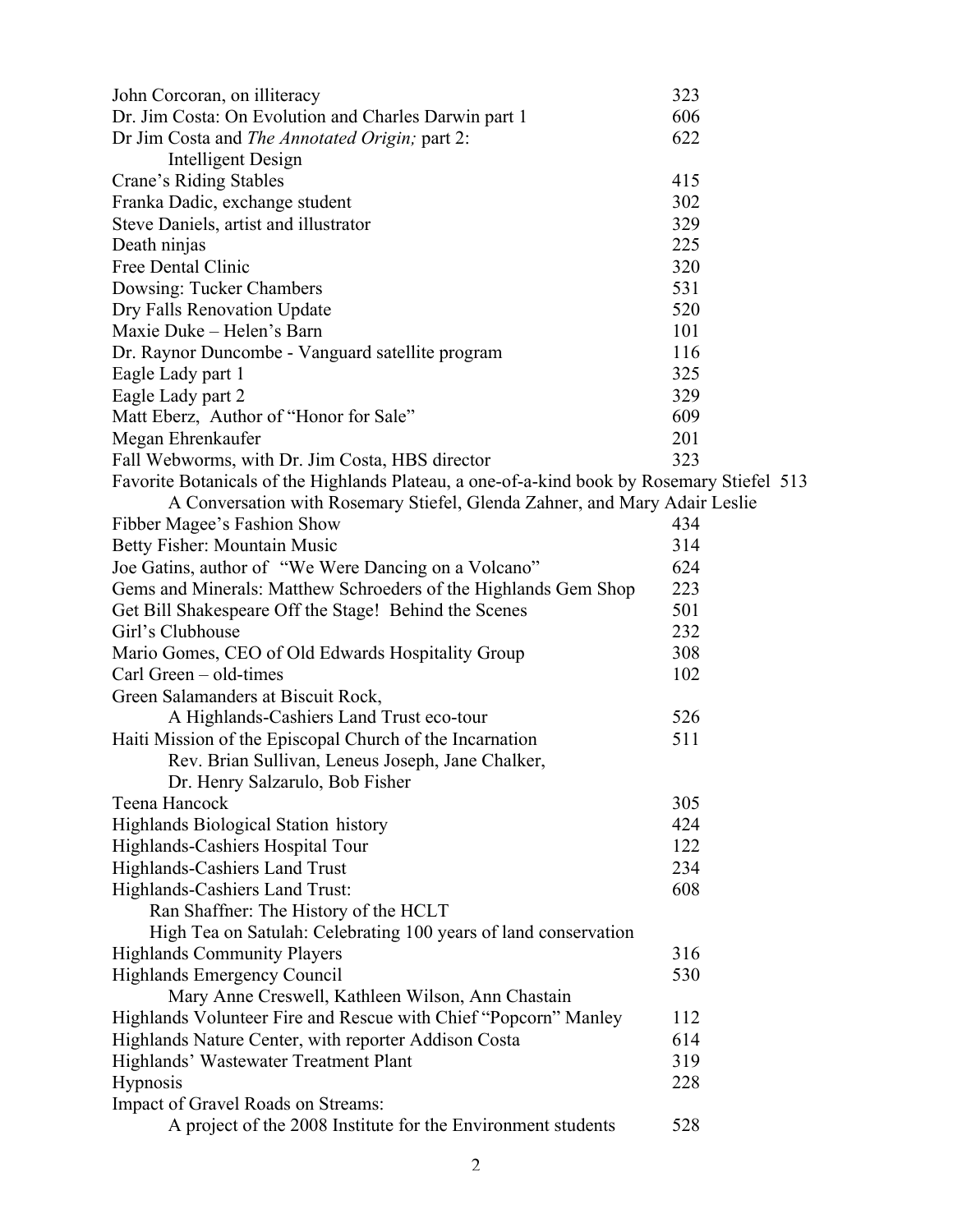| John Corcoran, on illiteracy                                                               | 323 |
|--------------------------------------------------------------------------------------------|-----|
| Dr. Jim Costa: On Evolution and Charles Darwin part 1                                      | 606 |
| Dr Jim Costa and The Annotated Origin; part 2:                                             | 622 |
| <b>Intelligent Design</b>                                                                  |     |
| Crane's Riding Stables                                                                     | 415 |
| Franka Dadic, exchange student                                                             | 302 |
| Steve Daniels, artist and illustrator                                                      | 329 |
| Death ninjas                                                                               | 225 |
| Free Dental Clinic                                                                         | 320 |
| Dowsing: Tucker Chambers                                                                   | 531 |
| Dry Falls Renovation Update                                                                | 520 |
| Maxie Duke - Helen's Barn                                                                  | 101 |
| Dr. Raynor Duncombe - Vanguard satellite program                                           | 116 |
| Eagle Lady part 1                                                                          | 325 |
| Eagle Lady part 2                                                                          | 329 |
| Matt Eberz, Author of "Honor for Sale"                                                     | 609 |
| Megan Ehrenkaufer                                                                          | 201 |
| Fall Webworms, with Dr. Jim Costa, HBS director                                            | 323 |
| Favorite Botanicals of the Highlands Plateau, a one-of-a-kind book by Rosemary Stiefel 513 |     |
| A Conversation with Rosemary Stiefel, Glenda Zahner, and Mary Adair Leslie                 |     |
| Fibber Magee's Fashion Show                                                                | 434 |
| Betty Fisher: Mountain Music                                                               | 314 |
| Joe Gatins, author of "We Were Dancing on a Volcano"                                       | 624 |
| Gems and Minerals: Matthew Schroeders of the Highlands Gem Shop                            | 223 |
| Get Bill Shakespeare Off the Stage! Behind the Scenes                                      | 501 |
| Girl's Clubhouse                                                                           | 232 |
| Mario Gomes, CEO of Old Edwards Hospitality Group                                          | 308 |
| Carl Green - old-times                                                                     | 102 |
| Green Salamanders at Biscuit Rock,                                                         |     |
| A Highlands-Cashiers Land Trust eco-tour                                                   | 526 |
| Haiti Mission of the Episcopal Church of the Incarnation                                   | 511 |
| Rev. Brian Sullivan, Leneus Joseph, Jane Chalker,                                          |     |
| Dr. Henry Salzarulo, Bob Fisher                                                            |     |
| Teena Hancock                                                                              | 305 |
| Highlands Biological Station history                                                       | 424 |
| Highlands-Cashiers Hospital Tour                                                           | 122 |
| Highlands-Cashiers Land Trust                                                              | 234 |
| Highlands-Cashiers Land Trust:                                                             | 608 |
| Ran Shaffner: The History of the HCLT                                                      |     |
| High Tea on Satulah: Celebrating 100 years of land conservation                            |     |
| <b>Highlands Community Players</b>                                                         | 316 |
| <b>Highlands Emergency Council</b>                                                         | 530 |
| Mary Anne Creswell, Kathleen Wilson, Ann Chastain                                          |     |
| Highlands Volunteer Fire and Rescue with Chief "Popcorn" Manley                            | 112 |
| Highlands Nature Center, with reporter Addison Costa                                       | 614 |
| Highlands' Wastewater Treatment Plant                                                      | 319 |
| <b>Hypnosis</b>                                                                            | 228 |
| Impact of Gravel Roads on Streams:                                                         |     |
| A project of the 2008 Institute for the Environment students                               | 528 |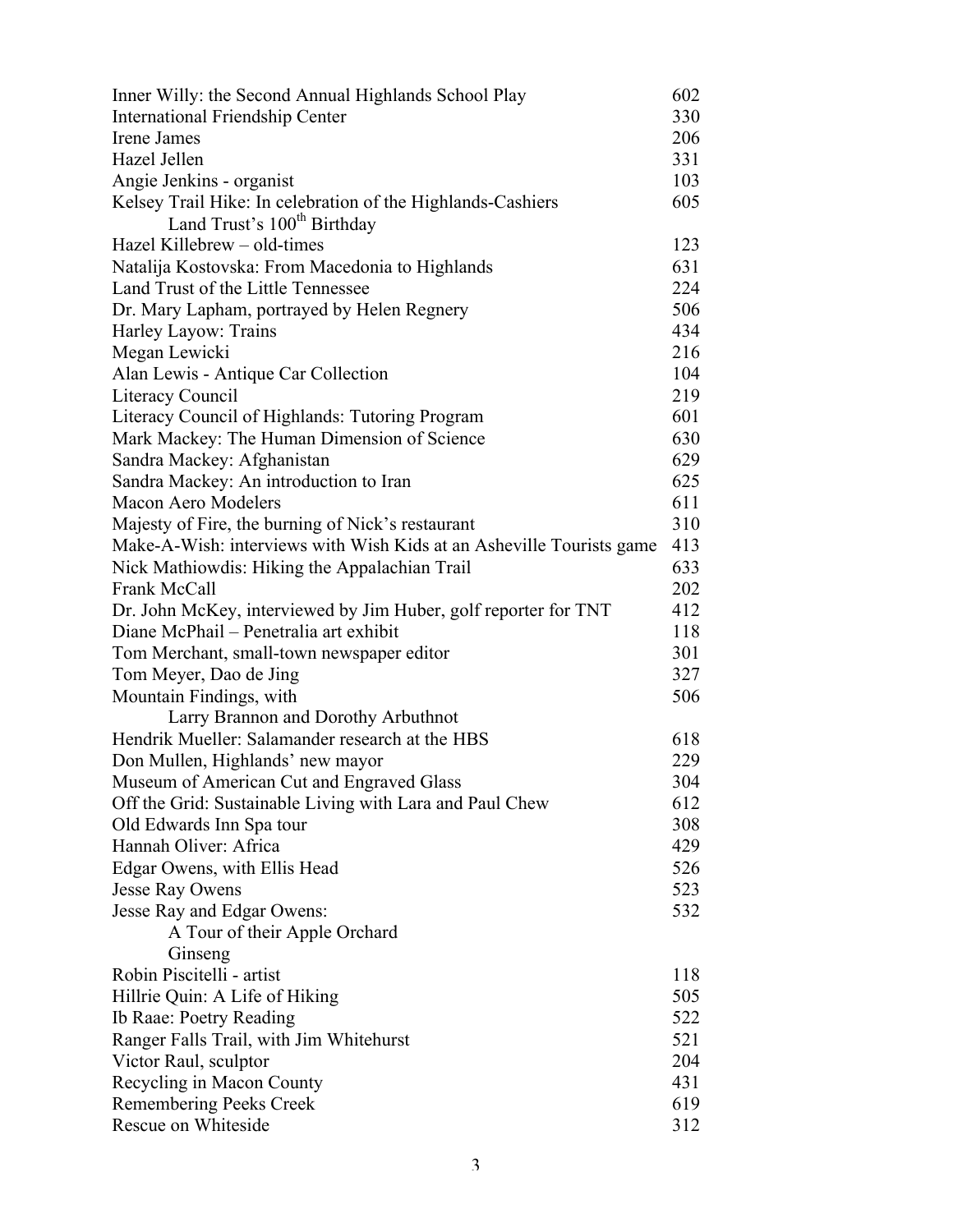| Inner Willy: the Second Annual Highlands School Play                 | 602 |
|----------------------------------------------------------------------|-----|
| <b>International Friendship Center</b>                               | 330 |
| Irene James                                                          | 206 |
| Hazel Jellen                                                         | 331 |
| Angie Jenkins - organist                                             | 103 |
| Kelsey Trail Hike: In celebration of the Highlands-Cashiers          | 605 |
| Land Trust's 100 <sup>th</sup> Birthday                              |     |
| Hazel Killebrew - old-times                                          | 123 |
| Natalija Kostovska: From Macedonia to Highlands                      | 631 |
| Land Trust of the Little Tennessee                                   | 224 |
| Dr. Mary Lapham, portrayed by Helen Regnery                          | 506 |
| Harley Layow: Trains                                                 | 434 |
| Megan Lewicki                                                        | 216 |
| Alan Lewis - Antique Car Collection                                  | 104 |
| Literacy Council                                                     | 219 |
| Literacy Council of Highlands: Tutoring Program                      | 601 |
| Mark Mackey: The Human Dimension of Science                          | 630 |
| Sandra Mackey: Afghanistan                                           | 629 |
| Sandra Mackey: An introduction to Iran                               | 625 |
| Macon Aero Modelers                                                  | 611 |
| Majesty of Fire, the burning of Nick's restaurant                    | 310 |
| Make-A-Wish: interviews with Wish Kids at an Asheville Tourists game | 413 |
| Nick Mathiowdis: Hiking the Appalachian Trail                        | 633 |
| Frank McCall                                                         | 202 |
| Dr. John McKey, interviewed by Jim Huber, golf reporter for TNT      | 412 |
| Diane McPhail - Penetralia art exhibit                               | 118 |
| Tom Merchant, small-town newspaper editor                            | 301 |
| Tom Meyer, Dao de Jing                                               | 327 |
| Mountain Findings, with                                              | 506 |
| Larry Brannon and Dorothy Arbuthnot                                  |     |
| Hendrik Mueller: Salamander research at the HBS                      | 618 |
| Don Mullen, Highlands' new mayor                                     | 229 |
| Museum of American Cut and Engraved Glass                            | 304 |
| Off the Grid: Sustainable Living with Lara and Paul Chew             | 612 |
| Old Edwards Inn Spa tour                                             | 308 |
| Hannah Oliver: Africa                                                | 429 |
| Edgar Owens, with Ellis Head                                         | 526 |
| Jesse Ray Owens                                                      | 523 |
| Jesse Ray and Edgar Owens:                                           | 532 |
| A Tour of their Apple Orchard                                        |     |
| Ginseng                                                              |     |
| Robin Piscitelli - artist                                            | 118 |
| Hillrie Quin: A Life of Hiking                                       | 505 |
| Ib Raae: Poetry Reading                                              | 522 |
| Ranger Falls Trail, with Jim Whitehurst                              | 521 |
| Victor Raul, sculptor                                                | 204 |
| Recycling in Macon County                                            | 431 |
| Remembering Peeks Creek                                              | 619 |
| Rescue on Whiteside                                                  | 312 |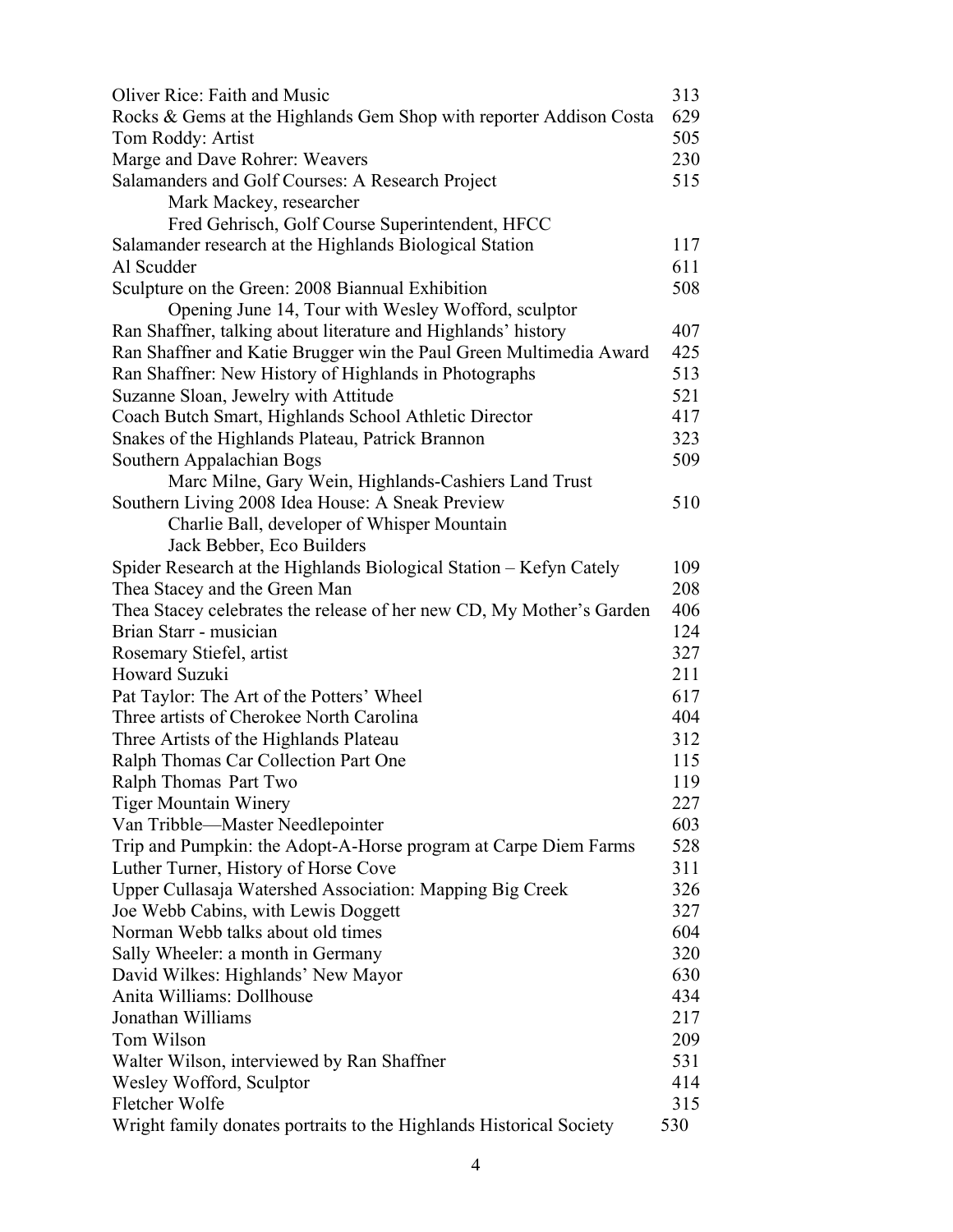| Oliver Rice: Faith and Music                                         | 313 |
|----------------------------------------------------------------------|-----|
| Rocks & Gems at the Highlands Gem Shop with reporter Addison Costa   | 629 |
| Tom Roddy: Artist                                                    | 505 |
| Marge and Dave Rohrer: Weavers                                       | 230 |
| Salamanders and Golf Courses: A Research Project                     | 515 |
| Mark Mackey, researcher                                              |     |
| Fred Gehrisch, Golf Course Superintendent, HFCC                      |     |
| Salamander research at the Highlands Biological Station              | 117 |
| Al Scudder                                                           | 611 |
| Sculpture on the Green: 2008 Biannual Exhibition                     | 508 |
| Opening June 14, Tour with Wesley Wofford, sculptor                  |     |
| Ran Shaffner, talking about literature and Highlands' history        | 407 |
| Ran Shaffner and Katie Brugger win the Paul Green Multimedia Award   | 425 |
| Ran Shaffner: New History of Highlands in Photographs                | 513 |
| Suzanne Sloan, Jewelry with Attitude                                 | 521 |
| Coach Butch Smart, Highlands School Athletic Director                | 417 |
| Snakes of the Highlands Plateau, Patrick Brannon                     | 323 |
| Southern Appalachian Bogs                                            | 509 |
|                                                                      |     |
| Marc Milne, Gary Wein, Highlands-Cashiers Land Trust                 | 510 |
| Southern Living 2008 Idea House: A Sneak Preview                     |     |
| Charlie Ball, developer of Whisper Mountain                          |     |
| Jack Bebber, Eco Builders                                            |     |
| Spider Research at the Highlands Biological Station - Kefyn Cately   | 109 |
| Thea Stacey and the Green Man                                        | 208 |
| Thea Stacey celebrates the release of her new CD, My Mother's Garden | 406 |
| Brian Starr - musician                                               | 124 |
| Rosemary Stiefel, artist                                             | 327 |
| <b>Howard Suzuki</b>                                                 | 211 |
| Pat Taylor: The Art of the Potters' Wheel                            | 617 |
| Three artists of Cherokee North Carolina                             | 404 |
| Three Artists of the Highlands Plateau                               | 312 |
| Ralph Thomas Car Collection Part One                                 | 115 |
| Ralph Thomas Part Two                                                | 119 |
| <b>Tiger Mountain Winery</b>                                         | 227 |
| Van Tribble—Master Needlepointer                                     | 603 |
| Trip and Pumpkin: the Adopt-A-Horse program at Carpe Diem Farms      | 528 |
| Luther Turner, History of Horse Cove                                 | 311 |
| Upper Cullasaja Watershed Association: Mapping Big Creek             | 326 |
| Joe Webb Cabins, with Lewis Doggett                                  | 327 |
| Norman Webb talks about old times                                    | 604 |
| Sally Wheeler: a month in Germany                                    | 320 |
| David Wilkes: Highlands' New Mayor                                   | 630 |
| Anita Williams: Dollhouse                                            | 434 |
| Jonathan Williams                                                    | 217 |
| Tom Wilson                                                           | 209 |
| Walter Wilson, interviewed by Ran Shaffner                           | 531 |
| Wesley Wofford, Sculptor                                             | 414 |
| Fletcher Wolfe                                                       | 315 |
| Wright family donates portraits to the Highlands Historical Society  | 530 |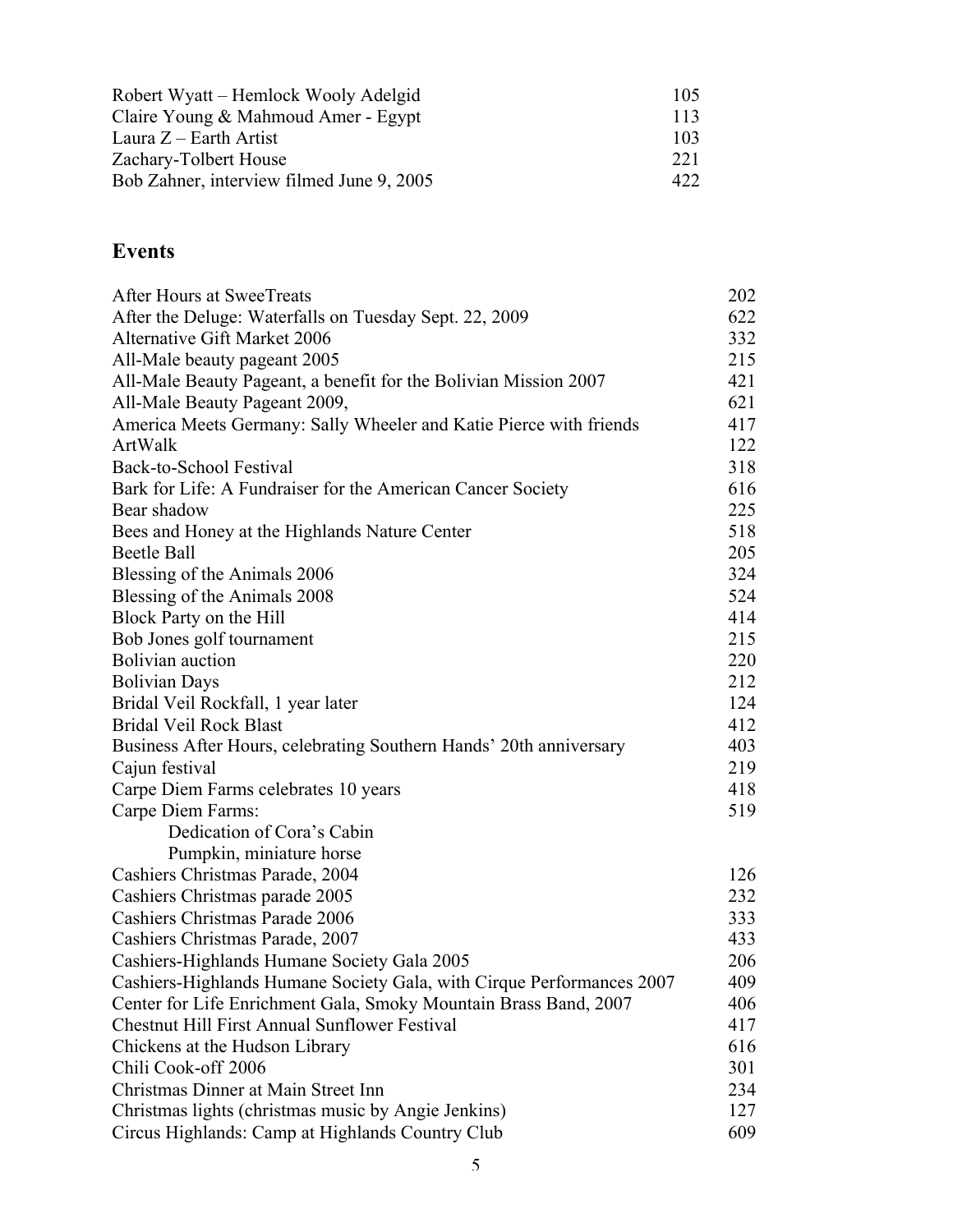| Robert Wyatt – Hemlock Wooly Adelgid      | 105. |  |
|-------------------------------------------|------|--|
| Claire Young & Mahmoud Amer - Egypt       | 113  |  |
| Laura $Z$ – Earth Artist                  | 103. |  |
| Zachary-Tolbert House                     | 221  |  |
| Bob Zahner, interview filmed June 9, 2005 | 422. |  |

## **Events**

| After Hours at SweeTreats                                             | 202 |
|-----------------------------------------------------------------------|-----|
| After the Deluge: Waterfalls on Tuesday Sept. 22, 2009                | 622 |
| Alternative Gift Market 2006                                          | 332 |
| All-Male beauty pageant 2005                                          | 215 |
| All-Male Beauty Pageant, a benefit for the Bolivian Mission 2007      | 421 |
| All-Male Beauty Pageant 2009,                                         | 621 |
| America Meets Germany: Sally Wheeler and Katie Pierce with friends    | 417 |
| ArtWalk                                                               | 122 |
| Back-to-School Festival                                               | 318 |
| Bark for Life: A Fundraiser for the American Cancer Society           | 616 |
| Bear shadow                                                           | 225 |
| Bees and Honey at the Highlands Nature Center                         | 518 |
| <b>Beetle Ball</b>                                                    | 205 |
| Blessing of the Animals 2006                                          | 324 |
| Blessing of the Animals 2008                                          | 524 |
| Block Party on the Hill                                               | 414 |
| Bob Jones golf tournament                                             | 215 |
| <b>Bolivian</b> auction                                               | 220 |
| <b>Bolivian Days</b>                                                  | 212 |
| Bridal Veil Rockfall, 1 year later                                    | 124 |
| <b>Bridal Veil Rock Blast</b>                                         | 412 |
| Business After Hours, celebrating Southern Hands' 20th anniversary    | 403 |
| Cajun festival                                                        | 219 |
| Carpe Diem Farms celebrates 10 years                                  | 418 |
| Carpe Diem Farms:                                                     | 519 |
| Dedication of Cora's Cabin                                            |     |
| Pumpkin, miniature horse                                              |     |
| Cashiers Christmas Parade, 2004                                       | 126 |
| Cashiers Christmas parade 2005                                        | 232 |
| Cashiers Christmas Parade 2006                                        | 333 |
| Cashiers Christmas Parade, 2007                                       | 433 |
| Cashiers-Highlands Humane Society Gala 2005                           | 206 |
| Cashiers-Highlands Humane Society Gala, with Cirque Performances 2007 | 409 |
| Center for Life Enrichment Gala, Smoky Mountain Brass Band, 2007      | 406 |
| Chestnut Hill First Annual Sunflower Festival                         | 417 |
| Chickens at the Hudson Library                                        | 616 |
| Chili Cook-off 2006                                                   | 301 |
| Christmas Dinner at Main Street Inn                                   | 234 |
| Christmas lights (christmas music by Angie Jenkins)                   | 127 |
| Circus Highlands: Camp at Highlands Country Club                      | 609 |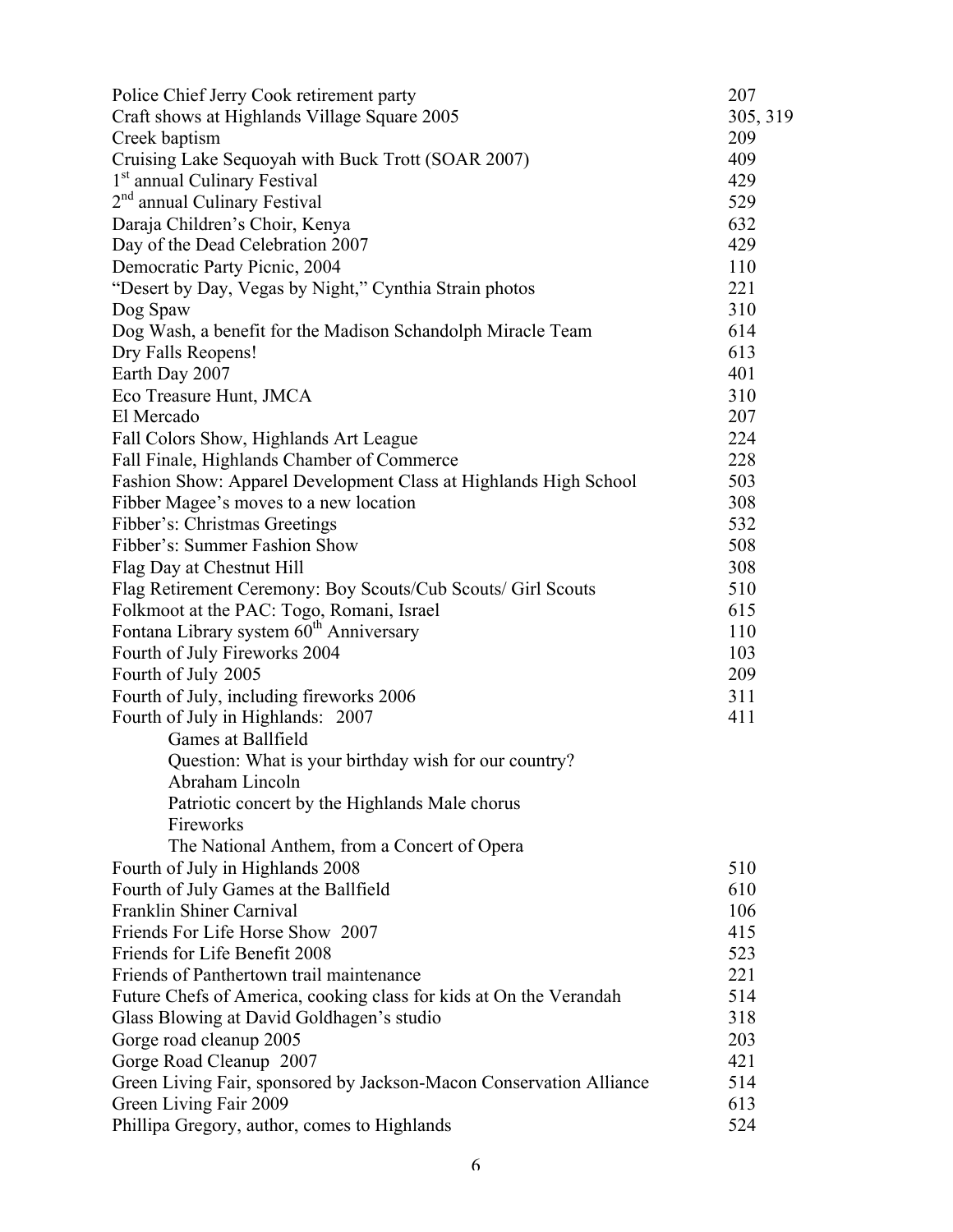| Police Chief Jerry Cook retirement party                            | 207      |
|---------------------------------------------------------------------|----------|
| Craft shows at Highlands Village Square 2005                        | 305, 319 |
| Creek baptism                                                       | 209      |
| Cruising Lake Sequoyah with Buck Trott (SOAR 2007)                  | 409      |
| 1 <sup>st</sup> annual Culinary Festival                            | 429      |
| 2 <sup>nd</sup> annual Culinary Festival                            | 529      |
| Daraja Children's Choir, Kenya                                      | 632      |
| Day of the Dead Celebration 2007                                    | 429      |
| Democratic Party Picnic, 2004                                       | 110      |
| "Desert by Day, Vegas by Night," Cynthia Strain photos              | 221      |
| Dog Spaw                                                            | 310      |
| Dog Wash, a benefit for the Madison Schandolph Miracle Team         | 614      |
| Dry Falls Reopens!                                                  | 613      |
| Earth Day 2007                                                      | 401      |
| Eco Treasure Hunt, JMCA                                             | 310      |
| El Mercado                                                          | 207      |
| Fall Colors Show, Highlands Art League                              | 224      |
| Fall Finale, Highlands Chamber of Commerce                          | 228      |
| Fashion Show: Apparel Development Class at Highlands High School    | 503      |
| Fibber Magee's moves to a new location                              | 308      |
| Fibber's: Christmas Greetings                                       | 532      |
| Fibber's: Summer Fashion Show                                       | 508      |
| Flag Day at Chestnut Hill                                           | 308      |
| Flag Retirement Ceremony: Boy Scouts/Cub Scouts/ Girl Scouts        | 510      |
| Folkmoot at the PAC: Togo, Romani, Israel                           | 615      |
| Fontana Library system 60 <sup>th</sup> Anniversary                 | 110      |
| Fourth of July Fireworks 2004                                       | 103      |
| Fourth of July 2005                                                 | 209      |
| Fourth of July, including fireworks 2006                            | 311      |
| Fourth of July in Highlands: 2007                                   | 411      |
| Games at Ballfield                                                  |          |
| Question: What is your birthday wish for our country?               |          |
| Abraham Lincoln                                                     |          |
| Patriotic concert by the Highlands Male chorus                      |          |
| Fireworks                                                           |          |
| The National Anthem, from a Concert of Opera                        |          |
| Fourth of July in Highlands 2008                                    | 510      |
| Fourth of July Games at the Ballfield                               | 610      |
| Franklin Shiner Carnival                                            | 106      |
| Friends For Life Horse Show 2007                                    | 415      |
| Friends for Life Benefit 2008                                       | 523      |
| Friends of Panthertown trail maintenance                            | 221      |
| Future Chefs of America, cooking class for kids at On the Verandah  | 514      |
| Glass Blowing at David Goldhagen's studio                           | 318      |
| Gorge road cleanup 2005                                             | 203      |
| Gorge Road Cleanup 2007                                             | 421      |
| Green Living Fair, sponsored by Jackson-Macon Conservation Alliance | 514      |
| Green Living Fair 2009                                              | 613      |
| Phillipa Gregory, author, comes to Highlands                        | 524      |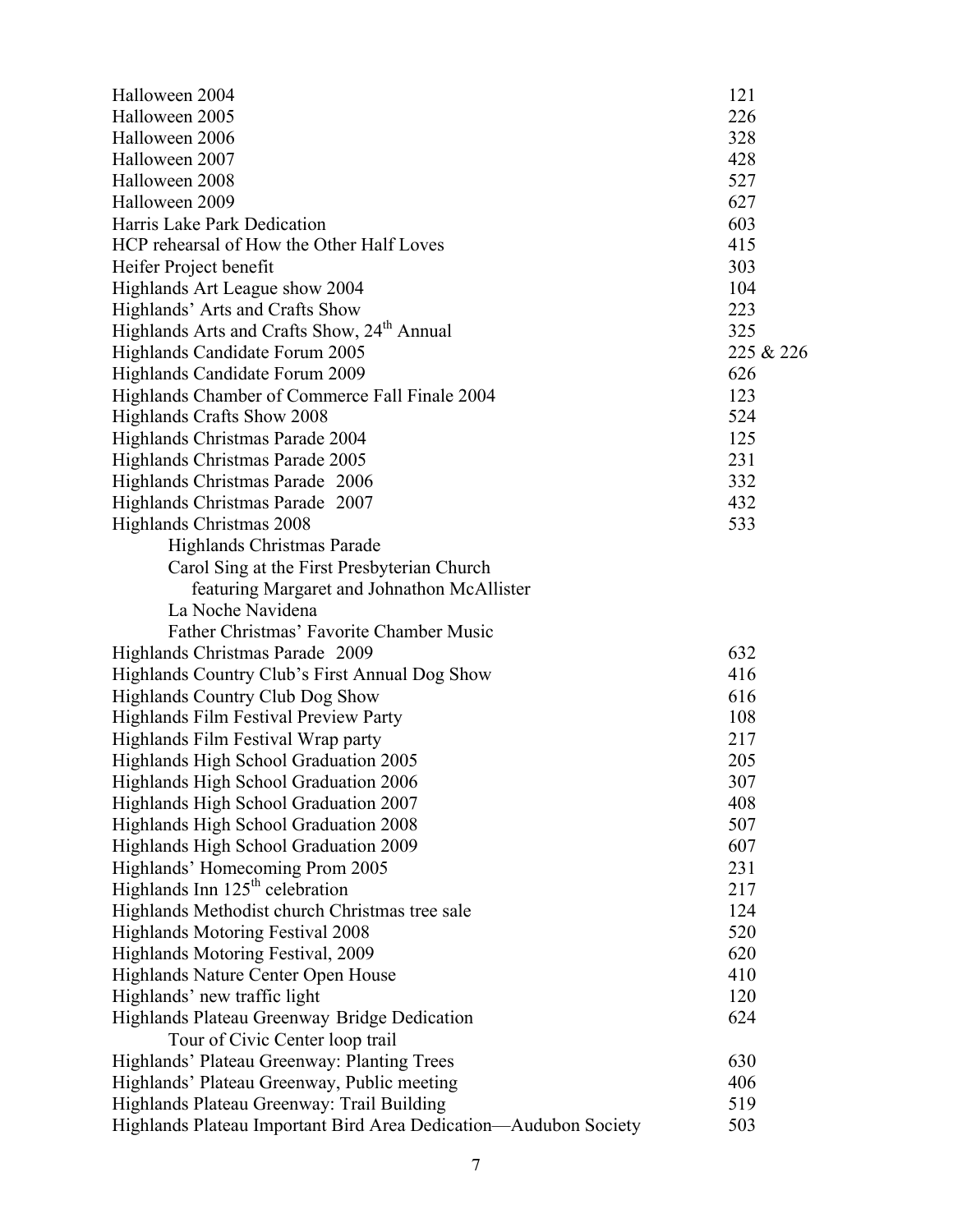| Halloween 2004                                                   | 121       |
|------------------------------------------------------------------|-----------|
| Halloween 2005                                                   | 226       |
| Halloween 2006                                                   | 328       |
| Halloween 2007                                                   | 428       |
| Halloween 2008                                                   | 527       |
| Halloween 2009                                                   | 627       |
| Harris Lake Park Dedication                                      | 603       |
| HCP rehearsal of How the Other Half Loves                        | 415       |
| Heifer Project benefit                                           | 303       |
| Highlands Art League show 2004                                   | 104       |
| Highlands' Arts and Crafts Show                                  | 223       |
| Highlands Arts and Crafts Show, 24 <sup>th</sup> Annual          | 325       |
| Highlands Candidate Forum 2005                                   | 225 & 226 |
| Highlands Candidate Forum 2009                                   | 626       |
| Highlands Chamber of Commerce Fall Finale 2004                   | 123       |
| Highlands Crafts Show 2008                                       | 524       |
| Highlands Christmas Parade 2004                                  | 125       |
| Highlands Christmas Parade 2005                                  | 231       |
| Highlands Christmas Parade 2006                                  | 332       |
| Highlands Christmas Parade 2007                                  | 432       |
| Highlands Christmas 2008                                         | 533       |
| Highlands Christmas Parade                                       |           |
| Carol Sing at the First Presbyterian Church                      |           |
| featuring Margaret and Johnathon McAllister                      |           |
| La Noche Navidena                                                |           |
| Father Christmas' Favorite Chamber Music                         |           |
| Highlands Christmas Parade 2009                                  | 632       |
| Highlands Country Club's First Annual Dog Show                   | 416       |
| <b>Highlands Country Club Dog Show</b>                           | 616       |
| Highlands Film Festival Preview Party                            | 108       |
| Highlands Film Festival Wrap party                               | 217       |
| Highlands High School Graduation 2005                            | 205       |
| Highlands High School Graduation 2006                            | 307       |
| Highlands High School Graduation 2007                            | 408       |
| Highlands High School Graduation 2008                            | 507       |
| Highlands High School Graduation 2009                            | 607       |
| Highlands' Homecoming Prom 2005                                  | 231       |
| Highlands Inn $125th$ celebration                                | 217       |
| Highlands Methodist church Christmas tree sale                   | 124       |
| <b>Highlands Motoring Festival 2008</b>                          | 520       |
| Highlands Motoring Festival, 2009                                | 620       |
| Highlands Nature Center Open House                               | 410       |
| Highlands' new traffic light                                     | 120       |
| Highlands Plateau Greenway Bridge Dedication                     | 624       |
| Tour of Civic Center loop trail                                  |           |
| Highlands' Plateau Greenway: Planting Trees                      | 630       |
| Highlands' Plateau Greenway, Public meeting                      | 406       |
| Highlands Plateau Greenway: Trail Building                       | 519       |
| Highlands Plateau Important Bird Area Dedication—Audubon Society | 503       |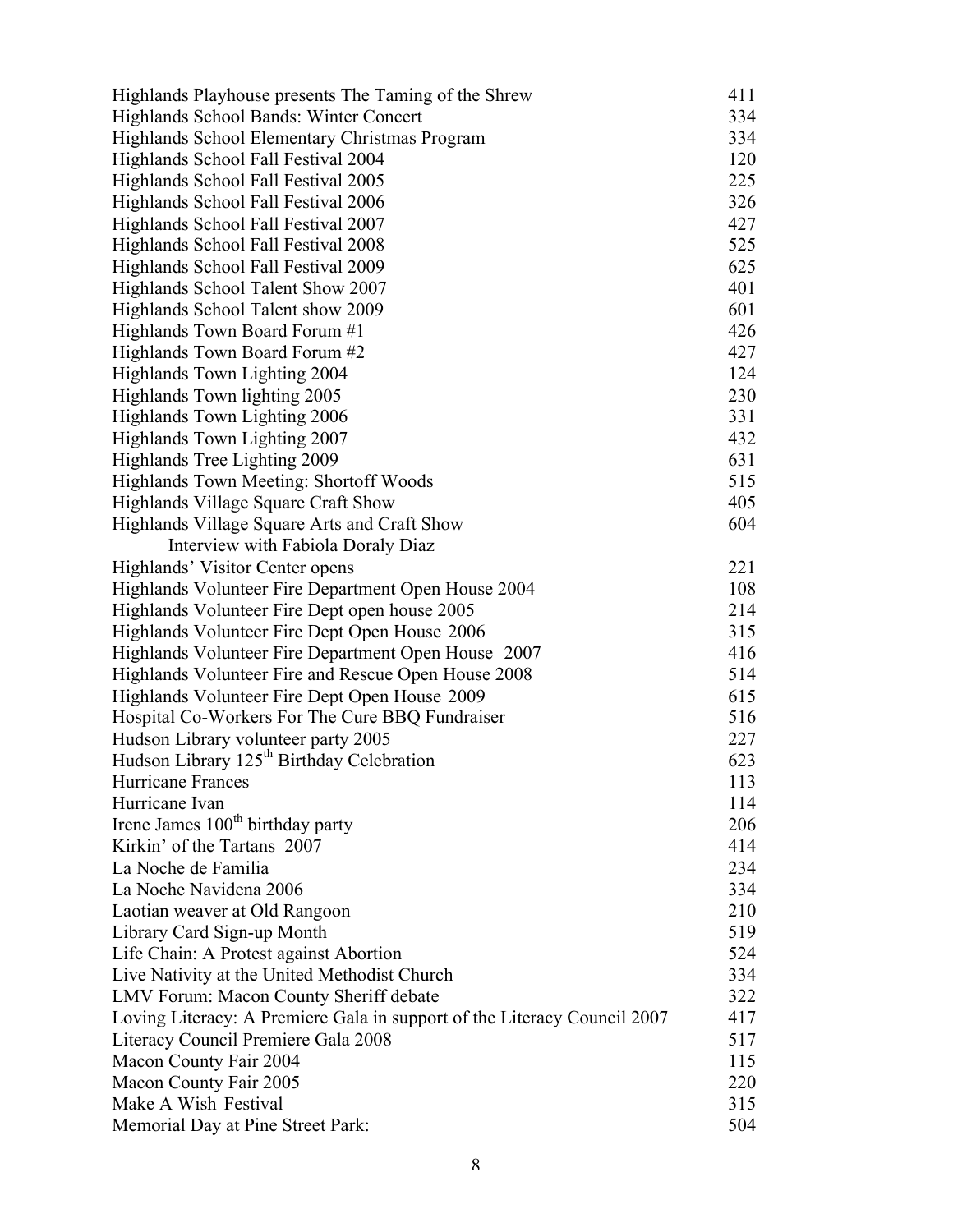| Highlands Playhouse presents The Taming of the Shrew                     | 411 |
|--------------------------------------------------------------------------|-----|
| Highlands School Bands: Winter Concert                                   | 334 |
| Highlands School Elementary Christmas Program                            | 334 |
| Highlands School Fall Festival 2004                                      | 120 |
| Highlands School Fall Festival 2005                                      | 225 |
| Highlands School Fall Festival 2006                                      | 326 |
| Highlands School Fall Festival 2007                                      | 427 |
| Highlands School Fall Festival 2008                                      | 525 |
| Highlands School Fall Festival 2009                                      | 625 |
| Highlands School Talent Show 2007                                        | 401 |
| Highlands School Talent show 2009                                        | 601 |
| Highlands Town Board Forum #1                                            | 426 |
| Highlands Town Board Forum #2                                            | 427 |
| Highlands Town Lighting 2004                                             | 124 |
| Highlands Town lighting 2005                                             | 230 |
| Highlands Town Lighting 2006                                             | 331 |
| Highlands Town Lighting 2007                                             | 432 |
| Highlands Tree Lighting 2009                                             | 631 |
| Highlands Town Meeting: Shortoff Woods                                   | 515 |
| Highlands Village Square Craft Show                                      | 405 |
| Highlands Village Square Arts and Craft Show                             | 604 |
| Interview with Fabiola Doraly Diaz                                       |     |
| Highlands' Visitor Center opens                                          | 221 |
| Highlands Volunteer Fire Department Open House 2004                      | 108 |
| Highlands Volunteer Fire Dept open house 2005                            | 214 |
| Highlands Volunteer Fire Dept Open House 2006                            | 315 |
| Highlands Volunteer Fire Department Open House 2007                      | 416 |
| Highlands Volunteer Fire and Rescue Open House 2008                      | 514 |
| Highlands Volunteer Fire Dept Open House 2009                            | 615 |
| Hospital Co-Workers For The Cure BBQ Fundraiser                          | 516 |
| Hudson Library volunteer party 2005                                      | 227 |
| Hudson Library 125 <sup>th</sup> Birthday Celebration                    | 623 |
| Hurricane Frances                                                        | 113 |
| Hurricane Ivan                                                           | 114 |
| Irene James 100 <sup>th</sup> birthday party                             | 206 |
| Kirkin' of the Tartans 2007                                              | 414 |
| La Noche de Familia                                                      | 234 |
| La Noche Navidena 2006                                                   | 334 |
| Laotian weaver at Old Rangoon                                            | 210 |
| Library Card Sign-up Month                                               | 519 |
| Life Chain: A Protest against Abortion                                   | 524 |
| Live Nativity at the United Methodist Church                             | 334 |
| LMV Forum: Macon County Sheriff debate                                   | 322 |
| Loving Literacy: A Premiere Gala in support of the Literacy Council 2007 | 417 |
| Literacy Council Premiere Gala 2008                                      | 517 |
| Macon County Fair 2004                                                   | 115 |
| Macon County Fair 2005                                                   | 220 |
| Make A Wish Festival                                                     | 315 |
| Memorial Day at Pine Street Park:                                        | 504 |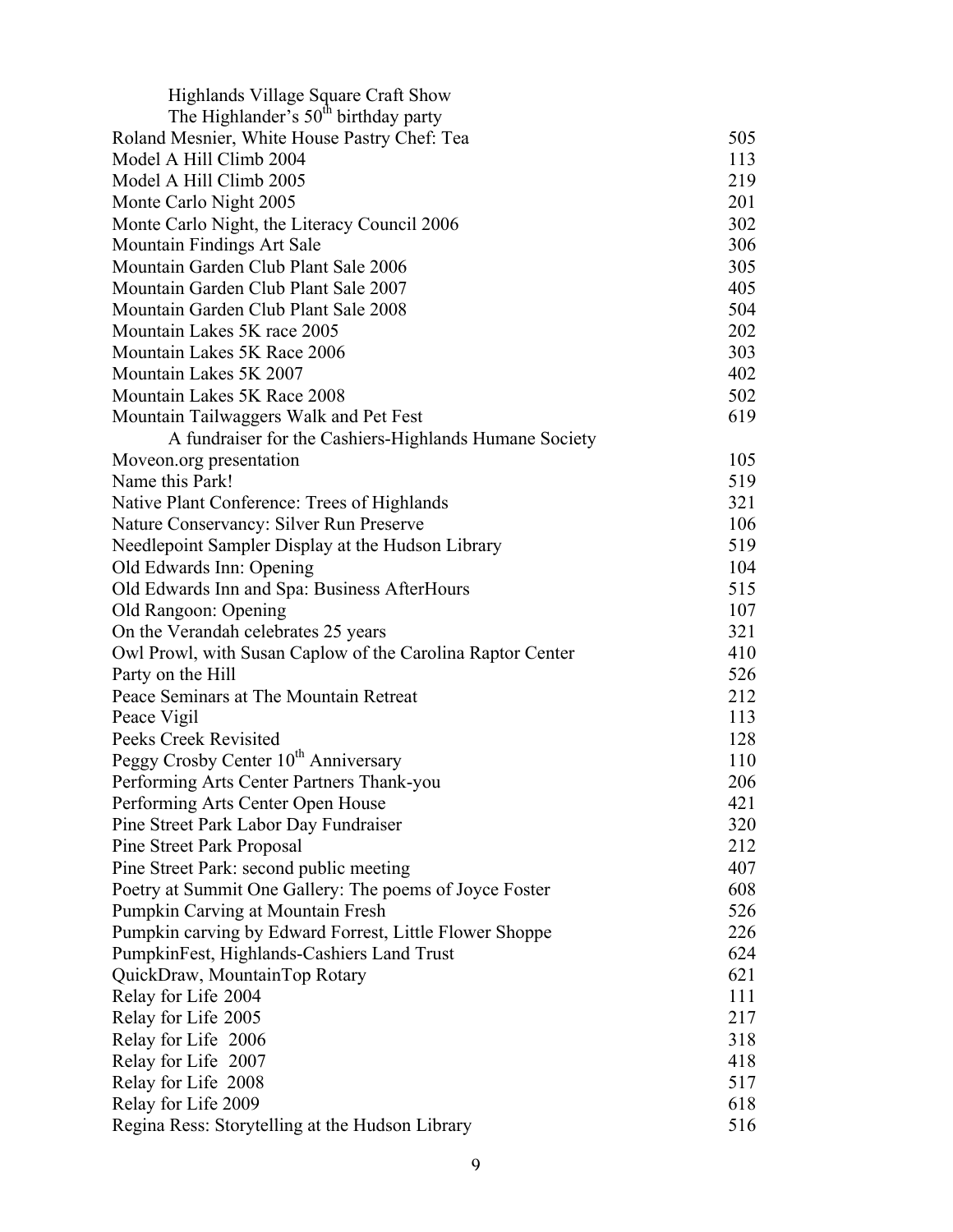| Highlands Village Square Craft Show                        |     |
|------------------------------------------------------------|-----|
| The Highlander's $50th$ birthday party                     |     |
| Roland Mesnier, White House Pastry Chef: Tea               | 505 |
| Model A Hill Climb 2004                                    | 113 |
| Model A Hill Climb 2005                                    | 219 |
| Monte Carlo Night 2005                                     | 201 |
| Monte Carlo Night, the Literacy Council 2006               | 302 |
| Mountain Findings Art Sale                                 | 306 |
| Mountain Garden Club Plant Sale 2006                       | 305 |
| Mountain Garden Club Plant Sale 2007                       | 405 |
| Mountain Garden Club Plant Sale 2008                       | 504 |
| Mountain Lakes 5K race 2005                                | 202 |
| Mountain Lakes 5K Race 2006                                | 303 |
| Mountain Lakes 5K 2007                                     | 402 |
| Mountain Lakes 5K Race 2008                                | 502 |
| Mountain Tailwaggers Walk and Pet Fest                     | 619 |
| A fundraiser for the Cashiers-Highlands Humane Society     |     |
| Moveon.org presentation                                    | 105 |
| Name this Park!                                            | 519 |
| Native Plant Conference: Trees of Highlands                | 321 |
| Nature Conservancy: Silver Run Preserve                    | 106 |
| Needlepoint Sampler Display at the Hudson Library          | 519 |
| Old Edwards Inn: Opening                                   | 104 |
| Old Edwards Inn and Spa: Business AfterHours               | 515 |
| Old Rangoon: Opening                                       | 107 |
| On the Verandah celebrates 25 years                        | 321 |
| Owl Prowl, with Susan Caplow of the Carolina Raptor Center | 410 |
| Party on the Hill                                          | 526 |
| Peace Seminars at The Mountain Retreat                     | 212 |
| Peace Vigil                                                | 113 |
| Peeks Creek Revisited                                      | 128 |
| Peggy Crosby Center 10 <sup>th</sup> Anniversary           | 110 |
| Performing Arts Center Partners Thank-you                  | 206 |
| Performing Arts Center Open House                          | 421 |
|                                                            | 320 |
| Pine Street Park Labor Day Fundraiser                      | 212 |
| <b>Pine Street Park Proposal</b>                           | 407 |
| Pine Street Park: second public meeting                    |     |
| Poetry at Summit One Gallery: The poems of Joyce Foster    | 608 |
| Pumpkin Carving at Mountain Fresh                          | 526 |
| Pumpkin carving by Edward Forrest, Little Flower Shoppe    | 226 |
| PumpkinFest, Highlands-Cashiers Land Trust                 | 624 |
| QuickDraw, MountainTop Rotary                              | 621 |
| Relay for Life 2004                                        | 111 |
| Relay for Life 2005                                        | 217 |
| Relay for Life 2006                                        | 318 |
| Relay for Life 2007                                        | 418 |
| Relay for Life 2008                                        | 517 |
| Relay for Life 2009                                        | 618 |
| Regina Ress: Storytelling at the Hudson Library            | 516 |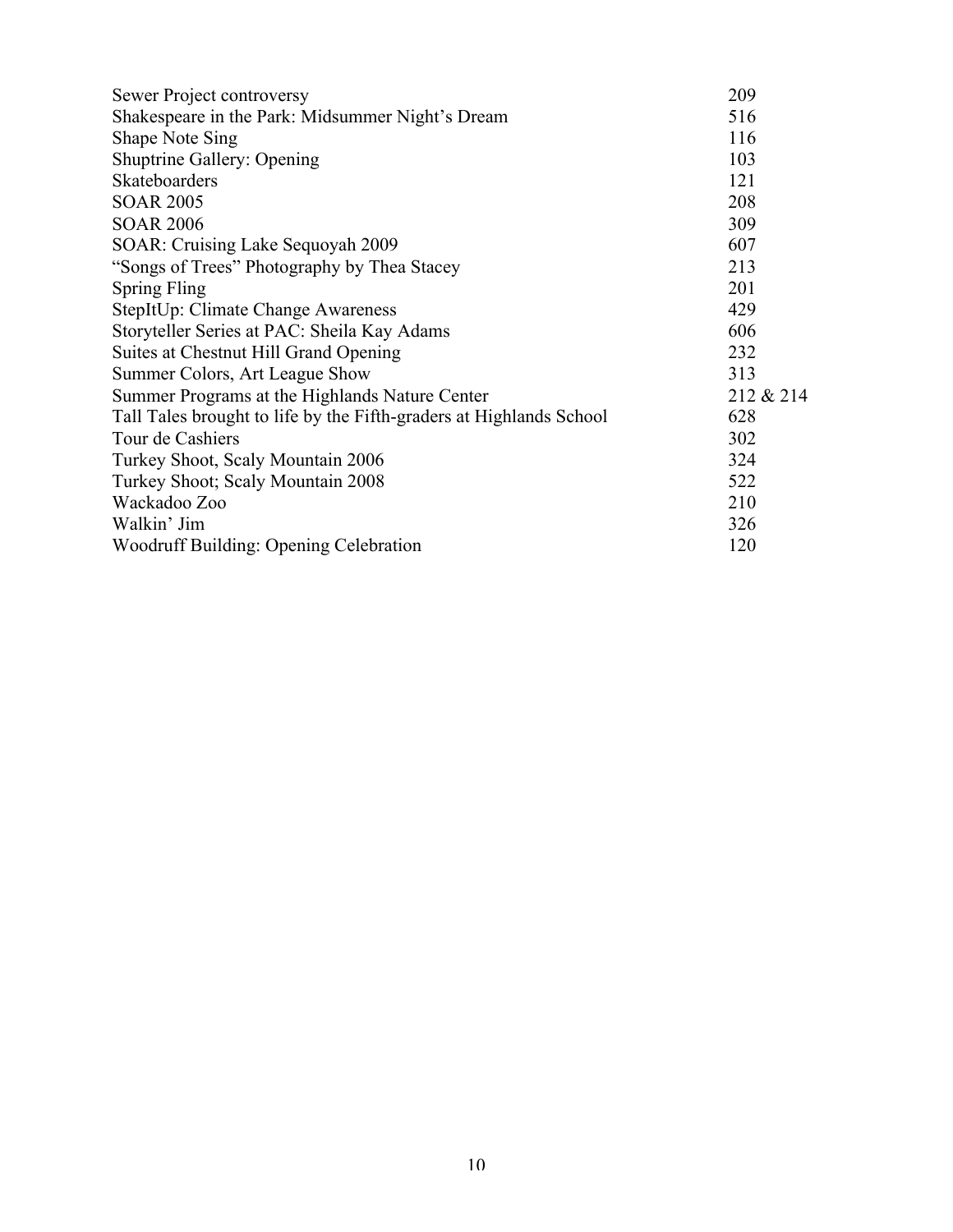| Sewer Project controversy                                           | 209       |
|---------------------------------------------------------------------|-----------|
| Shakespeare in the Park: Midsummer Night's Dream                    | 516       |
| <b>Shape Note Sing</b>                                              | 116       |
| <b>Shuptrine Gallery: Opening</b>                                   | 103       |
| Skateboarders                                                       | 121       |
| <b>SOAR 2005</b>                                                    | 208       |
| <b>SOAR 2006</b>                                                    | 309       |
| SOAR: Cruising Lake Sequoyah 2009                                   | 607       |
| "Songs of Trees" Photography by Thea Stacey                         | 213       |
| <b>Spring Fling</b>                                                 | 201       |
| StepItUp: Climate Change Awareness                                  | 429       |
| Storyteller Series at PAC: Sheila Kay Adams                         | 606       |
| Suites at Chestnut Hill Grand Opening                               | 232       |
| Summer Colors, Art League Show                                      | 313       |
| Summer Programs at the Highlands Nature Center                      | 212 & 214 |
| Tall Tales brought to life by the Fifth-graders at Highlands School | 628       |
| Tour de Cashiers                                                    | 302       |
| Turkey Shoot, Scaly Mountain 2006                                   | 324       |
| Turkey Shoot; Scaly Mountain 2008                                   | 522       |
| Wackadoo Zoo                                                        | 210       |
| Walkin' Jim                                                         | 326       |
| Woodruff Building: Opening Celebration                              | 120       |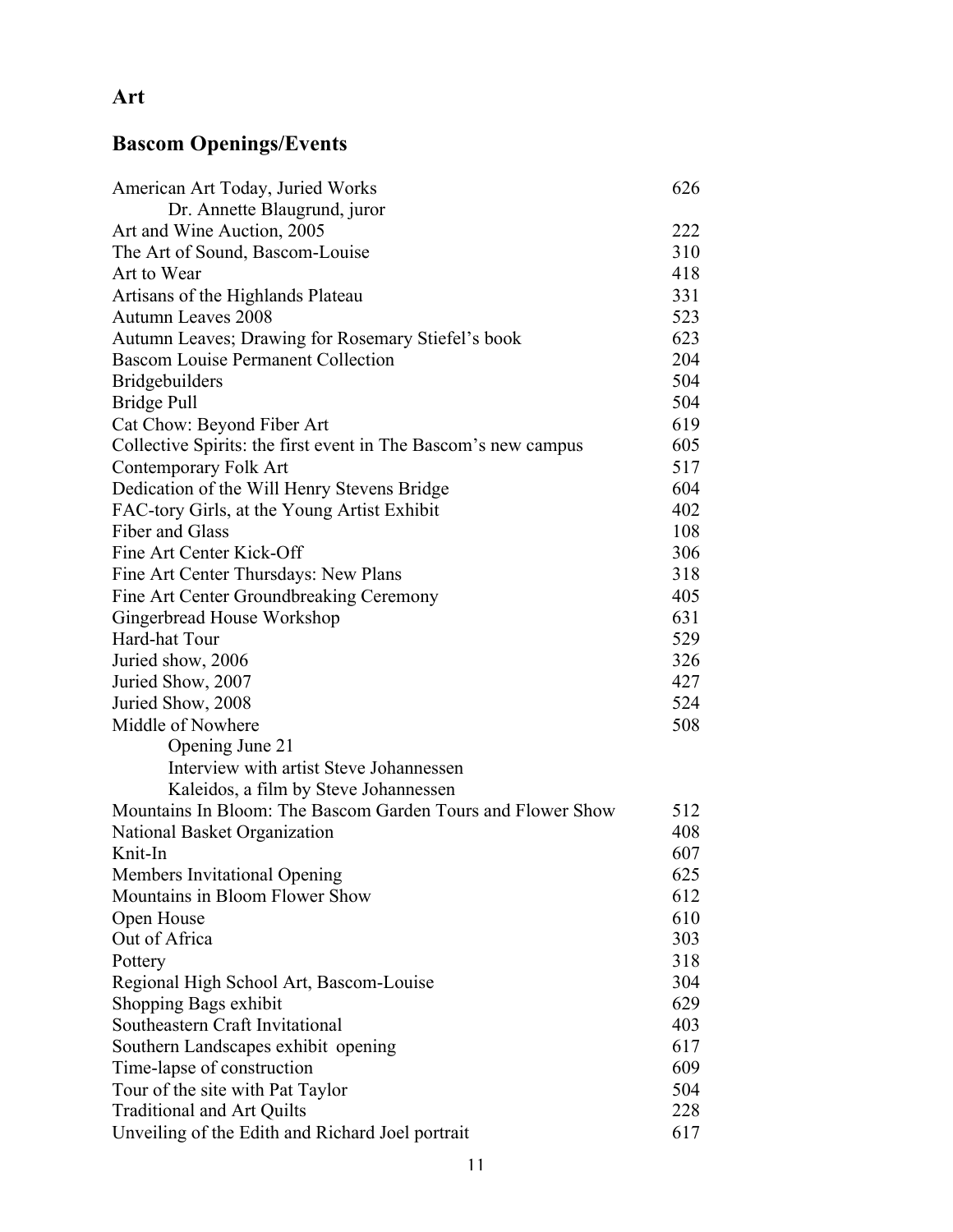## **Art**

# **Bascom Openings/Events**

| American Art Today, Juried Works                               | 626 |
|----------------------------------------------------------------|-----|
| Dr. Annette Blaugrund, juror                                   |     |
| Art and Wine Auction, 2005                                     | 222 |
| The Art of Sound, Bascom-Louise                                | 310 |
| Art to Wear                                                    | 418 |
| Artisans of the Highlands Plateau                              | 331 |
| <b>Autumn Leaves 2008</b>                                      | 523 |
| Autumn Leaves; Drawing for Rosemary Stiefel's book             | 623 |
| <b>Bascom Louise Permanent Collection</b>                      | 204 |
| <b>Bridgebuilders</b>                                          | 504 |
| Bridge Pull                                                    | 504 |
| Cat Chow: Beyond Fiber Art                                     | 619 |
| Collective Spirits: the first event in The Bascom's new campus | 605 |
| Contemporary Folk Art                                          | 517 |
| Dedication of the Will Henry Stevens Bridge                    | 604 |
| FAC-tory Girls, at the Young Artist Exhibit                    | 402 |
| Fiber and Glass                                                | 108 |
| Fine Art Center Kick-Off                                       | 306 |
| Fine Art Center Thursdays: New Plans                           | 318 |
| Fine Art Center Groundbreaking Ceremony                        | 405 |
| Gingerbread House Workshop                                     | 631 |
| Hard-hat Tour                                                  | 529 |
| Juried show, 2006                                              | 326 |
| Juried Show, 2007                                              | 427 |
| Juried Show, 2008                                              | 524 |
| Middle of Nowhere                                              | 508 |
| Opening June 21                                                |     |
| Interview with artist Steve Johannessen                        |     |
| Kaleidos, a film by Steve Johannessen                          |     |
| Mountains In Bloom: The Bascom Garden Tours and Flower Show    | 512 |
| National Basket Organization                                   | 408 |
| Knit-In                                                        | 607 |
| Members Invitational Opening                                   | 625 |
| Mountains in Bloom Flower Show                                 | 612 |
| Open House                                                     | 610 |
| Out of Africa                                                  | 303 |
| Pottery                                                        | 318 |
| Regional High School Art, Bascom-Louise                        | 304 |
| Shopping Bags exhibit                                          | 629 |
| Southeastern Craft Invitational                                | 403 |
| Southern Landscapes exhibit opening                            | 617 |
| Time-lapse of construction                                     | 609 |
| Tour of the site with Pat Taylor                               | 504 |
| <b>Traditional and Art Quilts</b>                              | 228 |
| Unveiling of the Edith and Richard Joel portrait               | 617 |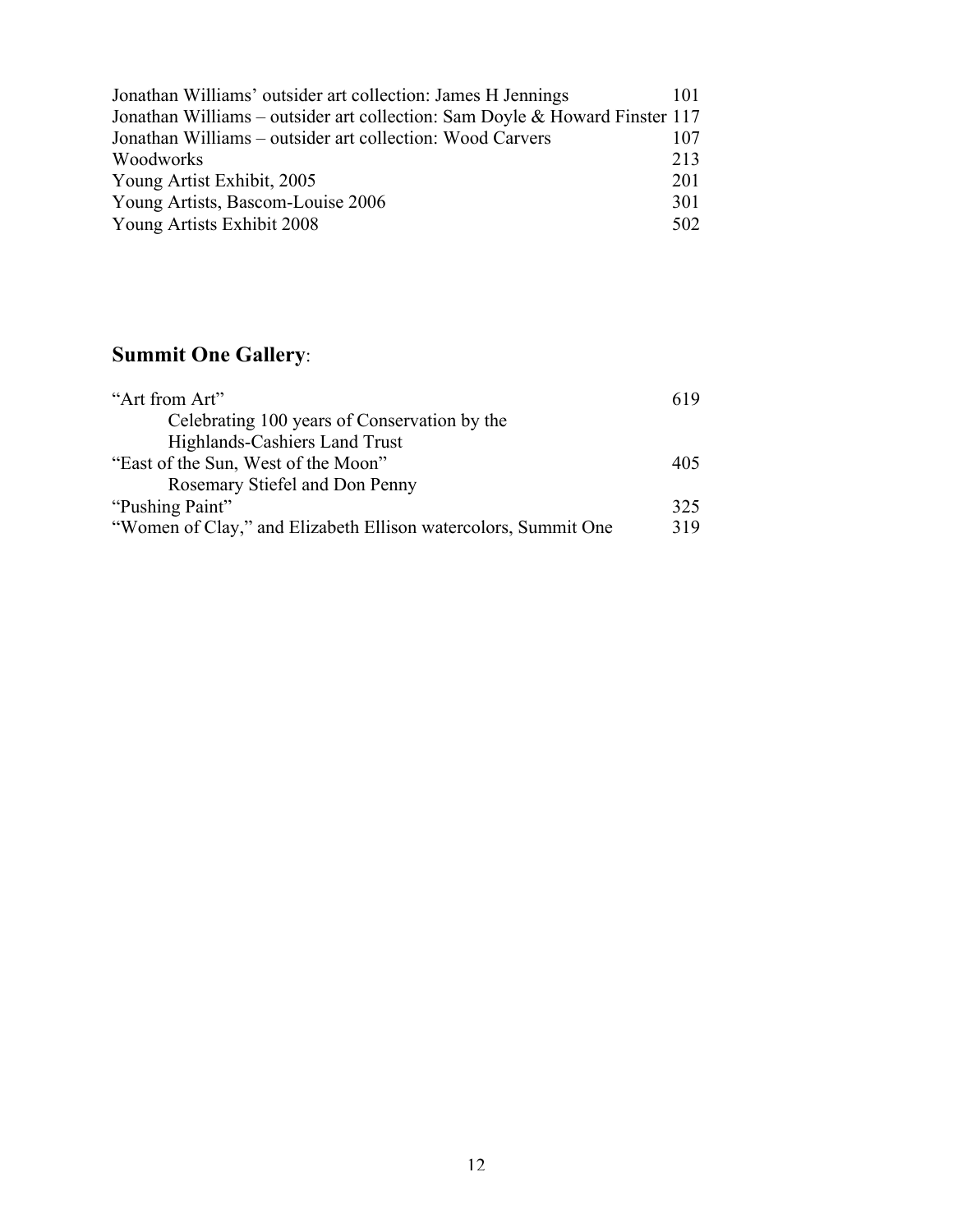| Jonathan Williams' outsider art collection: James H Jennings                | 101 |
|-----------------------------------------------------------------------------|-----|
| Jonathan Williams – outsider art collection: Sam Doyle & Howard Finster 117 |     |
| Jonathan Williams – outsider art collection: Wood Carvers                   | 107 |
| Woodworks                                                                   | 213 |
| Young Artist Exhibit, 2005                                                  | 201 |
| Young Artists, Bascom-Louise 2006                                           | 301 |
| Young Artists Exhibit 2008                                                  | 502 |

# **Summit One Gallery**:

| "Art from Art"                                                 | 619 |
|----------------------------------------------------------------|-----|
| Celebrating 100 years of Conservation by the                   |     |
| Highlands-Cashiers Land Trust                                  |     |
| "East of the Sun, West of the Moon"                            | 405 |
| Rosemary Stiefel and Don Penny                                 |     |
| "Pushing Paint"                                                | 325 |
| "Women of Clay," and Elizabeth Ellison watercolors, Summit One | 319 |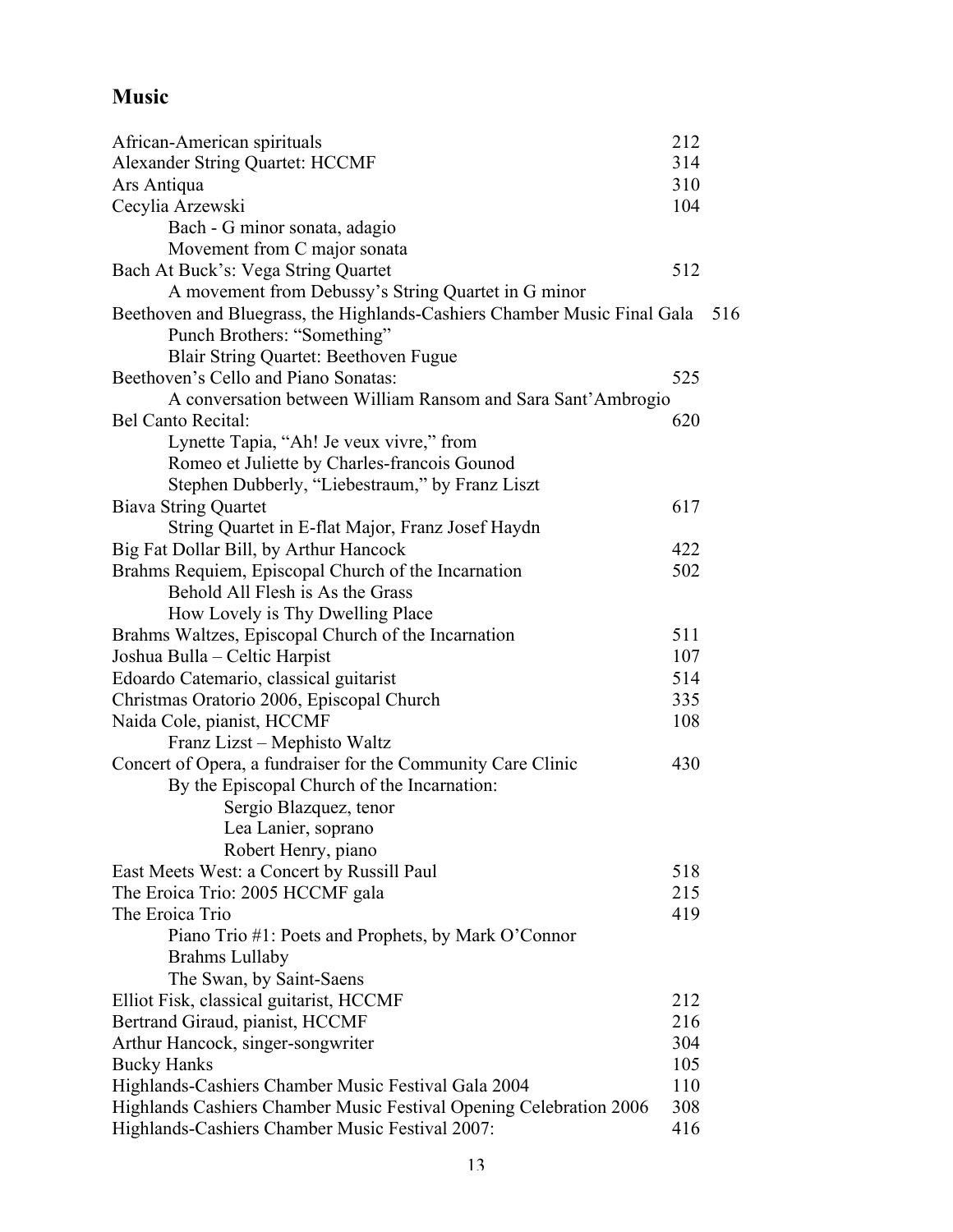## **Music**

| African-American spirituals                                              | 212 |     |
|--------------------------------------------------------------------------|-----|-----|
| Alexander String Quartet: HCCMF                                          | 314 |     |
| Ars Antiqua                                                              | 310 |     |
| Cecylia Arzewski                                                         | 104 |     |
| Bach - G minor sonata, adagio                                            |     |     |
| Movement from C major sonata                                             |     |     |
| Bach At Buck's: Vega String Quartet                                      | 512 |     |
| A movement from Debussy's String Quartet in G minor                      |     |     |
| Beethoven and Bluegrass, the Highlands-Cashiers Chamber Music Final Gala |     | 516 |
| Punch Brothers: "Something"                                              |     |     |
| Blair String Quartet: Beethoven Fugue                                    |     |     |
| Beethoven's Cello and Piano Sonatas:                                     | 525 |     |
| A conversation between William Ransom and Sara Sant'Ambrogio             |     |     |
| <b>Bel Canto Recital:</b>                                                | 620 |     |
| Lynette Tapia, "Ah! Je veux vivre," from                                 |     |     |
| Romeo et Juliette by Charles-francois Gounod                             |     |     |
| Stephen Dubberly, "Liebestraum," by Franz Liszt                          |     |     |
| <b>Biava String Quartet</b>                                              | 617 |     |
| String Quartet in E-flat Major, Franz Josef Haydn                        |     |     |
| Big Fat Dollar Bill, by Arthur Hancock                                   | 422 |     |
| Brahms Requiem, Episcopal Church of the Incarnation                      | 502 |     |
| Behold All Flesh is As the Grass                                         |     |     |
| How Lovely is Thy Dwelling Place                                         |     |     |
| Brahms Waltzes, Episcopal Church of the Incarnation                      | 511 |     |
| Joshua Bulla – Celtic Harpist                                            | 107 |     |
| Edoardo Catemario, classical guitarist                                   | 514 |     |
| Christmas Oratorio 2006, Episcopal Church                                | 335 |     |
| Naida Cole, pianist, HCCMF                                               | 108 |     |
| Franz Lizst - Mephisto Waltz                                             |     |     |
| Concert of Opera, a fundraiser for the Community Care Clinic             | 430 |     |
| By the Episcopal Church of the Incarnation:                              |     |     |
| Sergio Blazquez, tenor                                                   |     |     |
| Lea Lanier, soprano                                                      |     |     |
| Robert Henry, piano                                                      |     |     |
| East Meets West: a Concert by Russill Paul                               | 518 |     |
| The Eroica Trio: 2005 HCCMF gala                                         | 215 |     |
| The Eroica Trio                                                          | 419 |     |
| Piano Trio #1: Poets and Prophets, by Mark O'Connor                      |     |     |
| <b>Brahms Lullaby</b>                                                    |     |     |
| The Swan, by Saint-Saens                                                 |     |     |
| Elliot Fisk, classical guitarist, HCCMF                                  | 212 |     |
| Bertrand Giraud, pianist, HCCMF                                          | 216 |     |
| Arthur Hancock, singer-songwriter                                        | 304 |     |
| <b>Bucky Hanks</b>                                                       | 105 |     |
| Highlands-Cashiers Chamber Music Festival Gala 2004                      | 110 |     |
| Highlands Cashiers Chamber Music Festival Opening Celebration 2006       | 308 |     |
| Highlands-Cashiers Chamber Music Festival 2007:                          | 416 |     |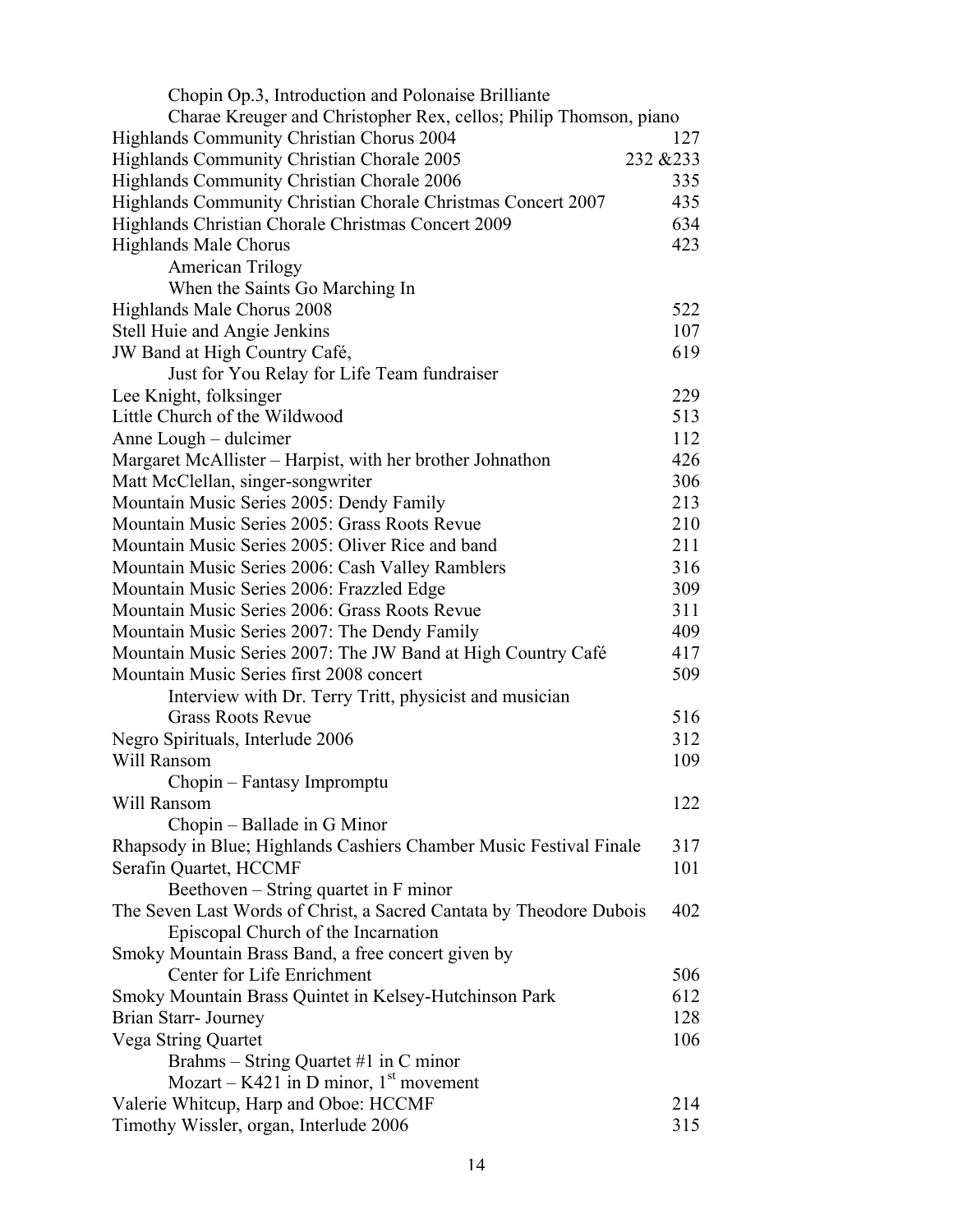| Chopin Op.3, Introduction and Polonaise Brilliante                  |           |
|---------------------------------------------------------------------|-----------|
| Charae Kreuger and Christopher Rex, cellos; Philip Thomson, piano   |           |
| Highlands Community Christian Chorus 2004                           | 127       |
| Highlands Community Christian Chorale 2005                          | 232 & 233 |
| Highlands Community Christian Chorale 2006                          | 335       |
| Highlands Community Christian Chorale Christmas Concert 2007        | 435       |
| Highlands Christian Chorale Christmas Concert 2009                  | 634       |
| <b>Highlands Male Chorus</b>                                        | 423       |
| <b>American Trilogy</b>                                             |           |
| When the Saints Go Marching In                                      |           |
| Highlands Male Chorus 2008                                          | 522       |
| Stell Huie and Angie Jenkins                                        | 107       |
| JW Band at High Country Café,                                       | 619       |
| Just for You Relay for Life Team fundraiser                         |           |
| Lee Knight, folksinger                                              | 229       |
| Little Church of the Wildwood                                       | 513       |
| Anne Lough - dulcimer                                               | 112       |
| Margaret McAllister – Harpist, with her brother Johnathon           | 426       |
| Matt McClellan, singer-songwriter                                   | 306       |
| Mountain Music Series 2005: Dendy Family                            | 213       |
| Mountain Music Series 2005: Grass Roots Revue                       | 210       |
| Mountain Music Series 2005: Oliver Rice and band                    | 211       |
| Mountain Music Series 2006: Cash Valley Ramblers                    | 316       |
| Mountain Music Series 2006: Frazzled Edge                           | 309       |
| Mountain Music Series 2006: Grass Roots Revue                       | 311       |
| Mountain Music Series 2007: The Dendy Family                        | 409       |
| Mountain Music Series 2007: The JW Band at High Country Café        | 417       |
| Mountain Music Series first 2008 concert                            | 509       |
| Interview with Dr. Terry Tritt, physicist and musician              |           |
| <b>Grass Roots Revue</b>                                            | 516       |
| Negro Spirituals, Interlude 2006                                    | 312       |
| Will Ransom                                                         | 109       |
| Chopin – Fantasy Impromptu                                          |           |
| Will Ransom                                                         | 122       |
| Chopin – Ballade in G Minor                                         |           |
| Rhapsody in Blue; Highlands Cashiers Chamber Music Festival Finale  | 317       |
| Serafin Quartet, HCCMF                                              | 101       |
| Beethoven – String quartet in F minor                               |           |
| The Seven Last Words of Christ, a Sacred Cantata by Theodore Dubois | 402       |
| Episcopal Church of the Incarnation                                 |           |
| Smoky Mountain Brass Band, a free concert given by                  |           |
| Center for Life Enrichment                                          | 506       |
|                                                                     | 612       |
| Smoky Mountain Brass Quintet in Kelsey-Hutchinson Park              | 128       |
| Brian Starr- Journey                                                |           |
| Vega String Quartet                                                 | 106       |
| Brahms – String Quartet #1 in C minor                               |           |
| Mozart – K421 in D minor, $1st$ movement                            |           |
| Valerie Whitcup, Harp and Oboe: HCCMF                               | 214       |
| Timothy Wissler, organ, Interlude 2006                              | 315       |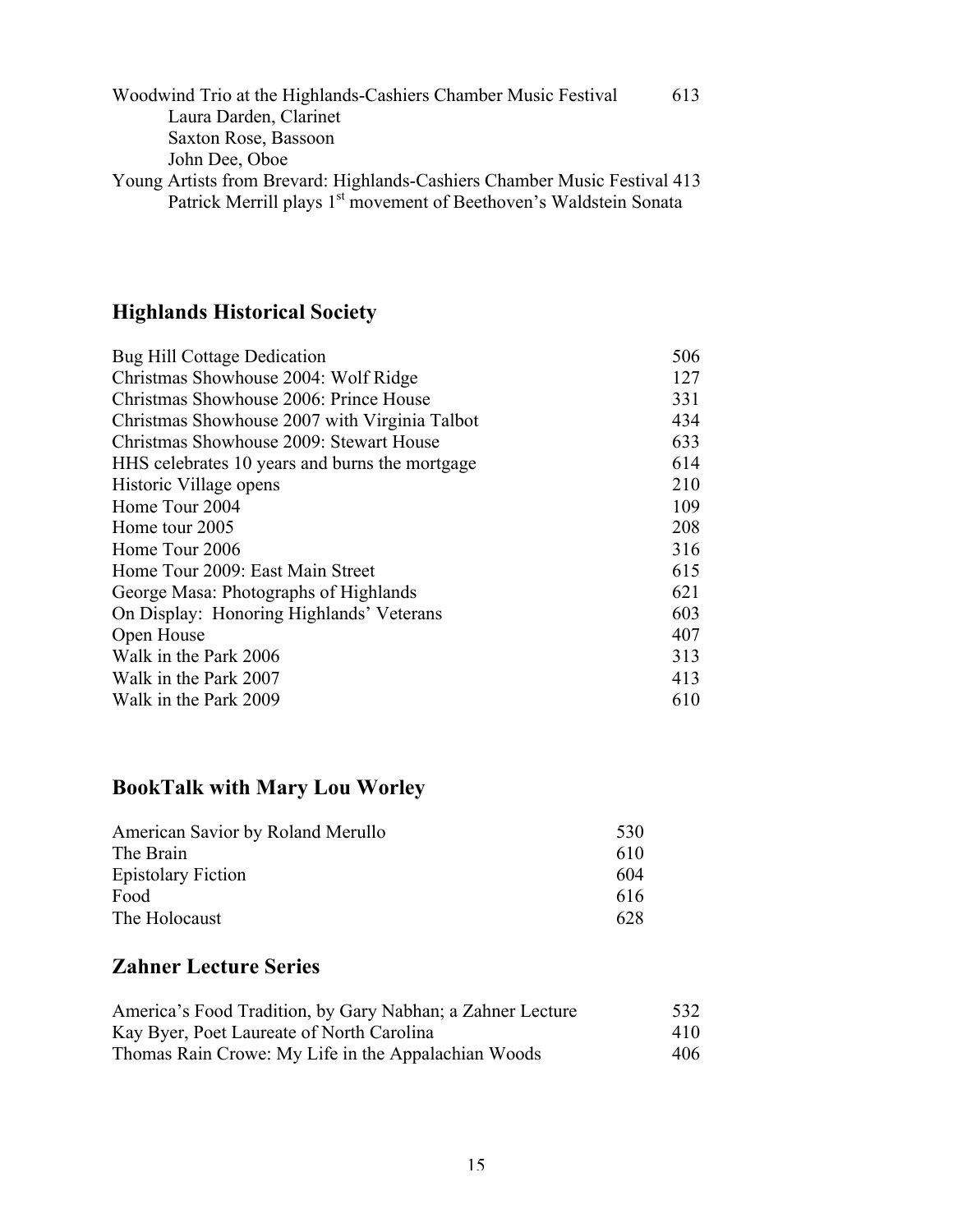| Woodwind Trio at the Highlands-Cashiers Chamber Music Festival                 | 613 |
|--------------------------------------------------------------------------------|-----|
| Laura Darden, Clarinet                                                         |     |
| Saxton Rose, Bassoon                                                           |     |
| John Dee, Oboe                                                                 |     |
| Young Artists from Brevard: Highlands-Cashiers Chamber Music Festival 413      |     |
| Patrick Merrill plays 1 <sup>st</sup> movement of Beethoven's Waldstein Sonata |     |

# **Highlands Historical Society**

| 506 |
|-----|
| 127 |
| 331 |
| 434 |
| 633 |
| 614 |
| 210 |
| 109 |
| 208 |
| 316 |
| 615 |
| 621 |
| 603 |
| 407 |
| 313 |
| 413 |
| 610 |
|     |

# **BookTalk with Mary Lou Worley**

| American Savior by Roland Merullo | 530 |
|-----------------------------------|-----|
| The Brain                         | 610 |
| <b>Epistolary Fiction</b>         | 604 |
| Food                              | 616 |
| The Holocaust                     | 628 |

### **Zahner Lecture Series**

| America's Food Tradition, by Gary Nabhan; a Zahner Lecture | 532 |
|------------------------------------------------------------|-----|
| Kay Byer, Poet Laureate of North Carolina                  | 410 |
| Thomas Rain Crowe: My Life in the Appalachian Woods        | 406 |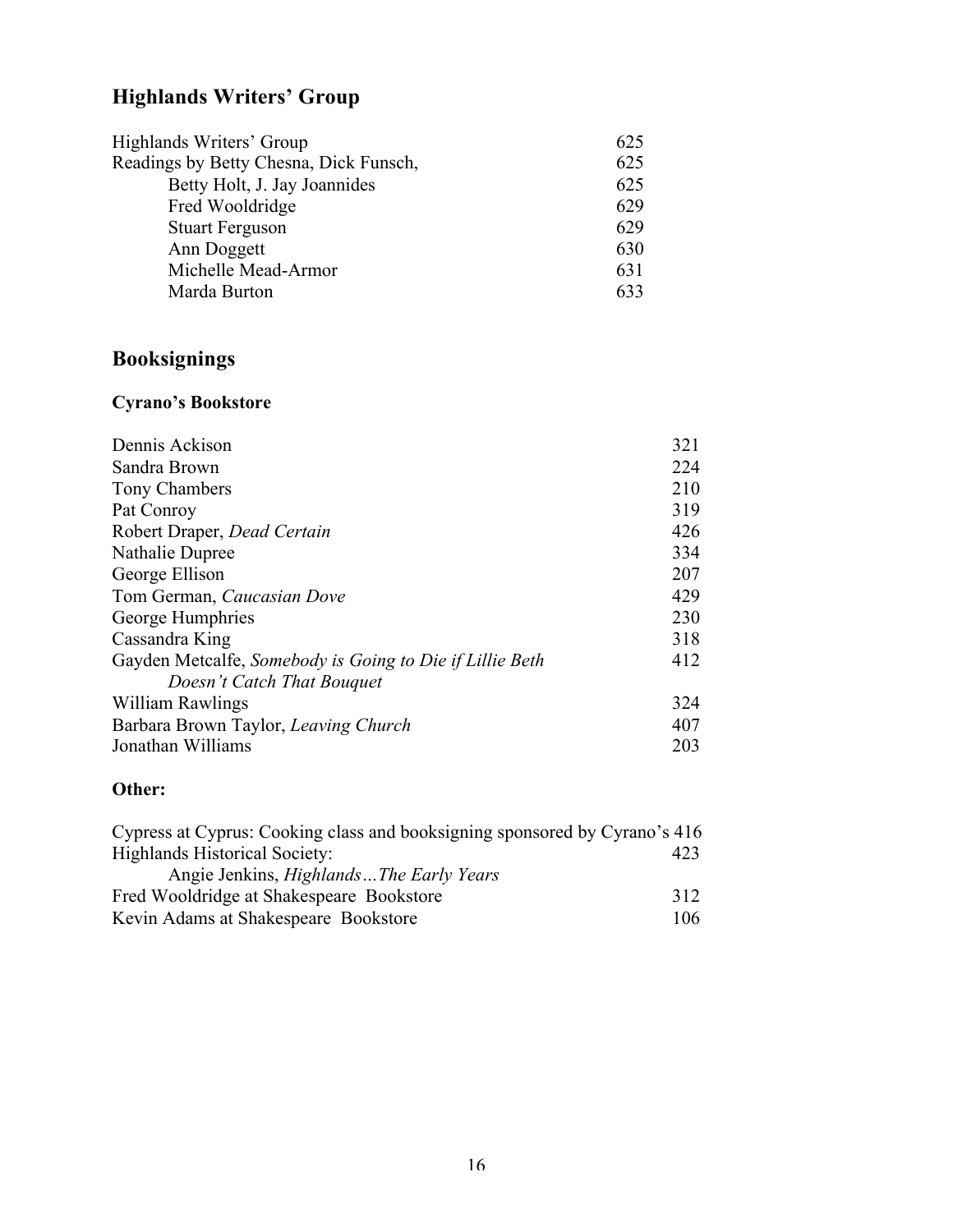# **Highlands Writers' Group**

| Highlands Writers' Group               | 625 |
|----------------------------------------|-----|
| Readings by Betty Chesna, Dick Funsch, | 625 |
| Betty Holt, J. Jay Joannides           | 625 |
| Fred Wooldridge                        | 629 |
| <b>Stuart Ferguson</b>                 | 629 |
| Ann Doggett                            | 630 |
| Michelle Mead-Armor                    | 631 |
| Marda Burton                           | 633 |

# **Booksignings**

### **Cyrano's Bookstore**

| Dennis Ackison                                           | 321 |
|----------------------------------------------------------|-----|
| Sandra Brown                                             | 224 |
| Tony Chambers                                            | 210 |
| Pat Conroy                                               | 319 |
| Robert Draper, Dead Certain                              | 426 |
| Nathalie Dupree                                          | 334 |
| George Ellison                                           | 207 |
| Tom German, Caucasian Dove                               | 429 |
| George Humphries                                         | 230 |
| Cassandra King                                           | 318 |
| Gayden Metcalfe, Somebody is Going to Die if Lillie Beth | 412 |
| Doesn't Catch That Bouquet                               |     |
| William Rawlings                                         | 324 |
| Barbara Brown Taylor, Leaving Church                     | 407 |
| Jonathan Williams                                        | 203 |
|                                                          |     |

#### **Other:**

| Cypress at Cyprus: Cooking class and booksigning sponsored by Cyrano's 416 |      |
|----------------------------------------------------------------------------|------|
| <b>Highlands Historical Society:</b>                                       | 423  |
| Angie Jenkins, <i>Highlands</i> The Early Years                            |      |
| Fred Wooldridge at Shakespeare Bookstore                                   | 312  |
| Kevin Adams at Shakespeare Bookstore                                       | 106. |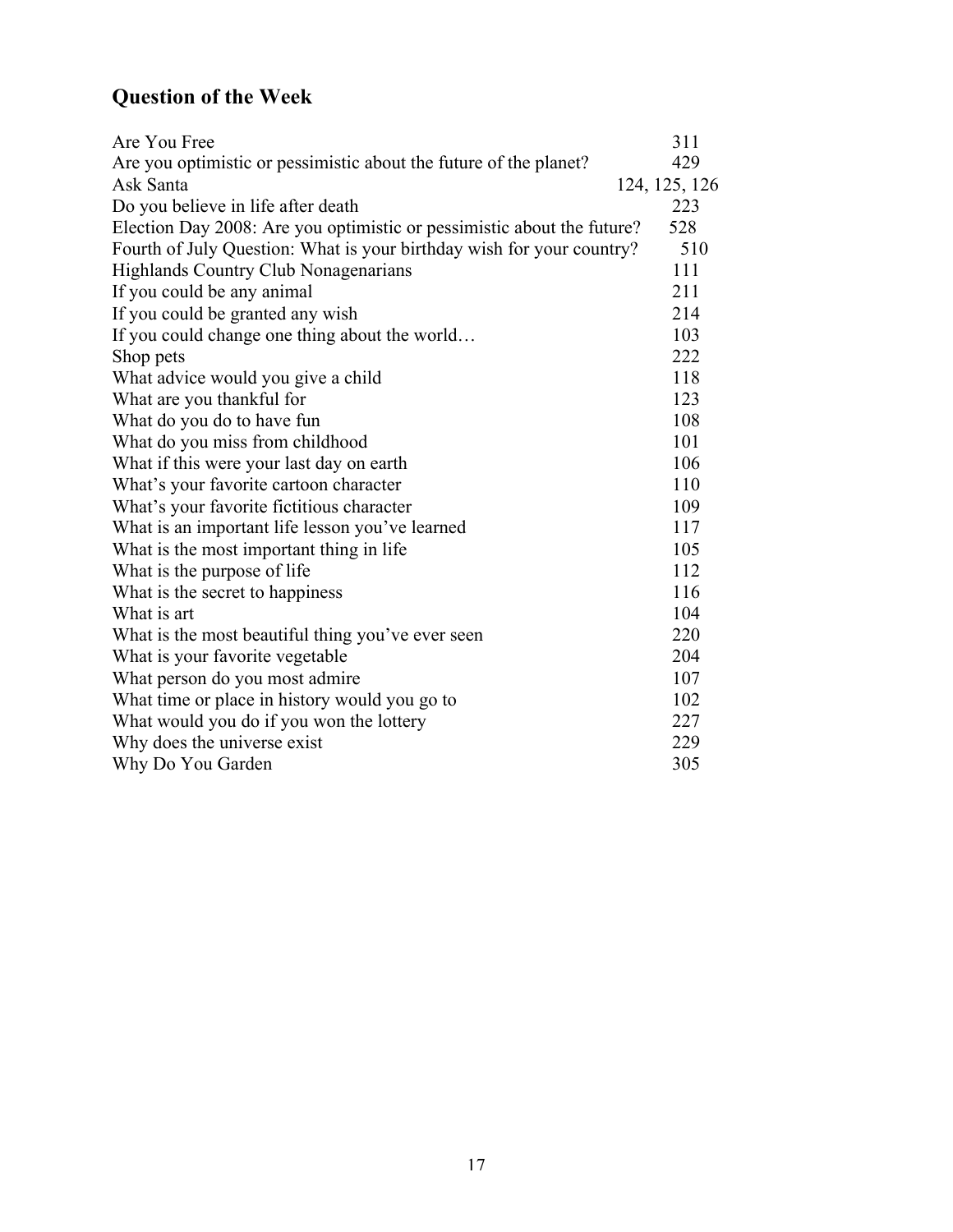# **Question of the Week**

| Are You Free                                                           | 311           |
|------------------------------------------------------------------------|---------------|
| Are you optimistic or pessimistic about the future of the planet?      | 429           |
| Ask Santa                                                              | 124, 125, 126 |
| Do you believe in life after death                                     | 223           |
| Election Day 2008: Are you optimistic or pessimistic about the future? | 528           |
| Fourth of July Question: What is your birthday wish for your country?  | 510           |
| <b>Highlands Country Club Nonagenarians</b>                            | 111           |
| If you could be any animal                                             | 211           |
| If you could be granted any wish                                       | 214           |
| If you could change one thing about the world                          | 103           |
| Shop pets                                                              | 222           |
| What advice would you give a child                                     | 118           |
| What are you thankful for                                              | 123           |
| What do you do to have fun                                             | 108           |
| What do you miss from childhood                                        | 101           |
| What if this were your last day on earth                               | 106           |
| What's your favorite cartoon character                                 | 110           |
| What's your favorite fictitious character                              | 109           |
| What is an important life lesson you've learned                        | 117           |
| What is the most important thing in life                               | 105           |
| What is the purpose of life                                            | 112           |
| What is the secret to happiness                                        | 116           |
| What is art                                                            | 104           |
| What is the most beautiful thing you've ever seen                      | 220           |
| What is your favorite vegetable                                        | 204           |
| What person do you most admire                                         | 107           |
| What time or place in history would you go to                          | 102           |
| What would you do if you won the lottery                               | 227           |
| Why does the universe exist                                            | 229           |
| Why Do You Garden                                                      | 305           |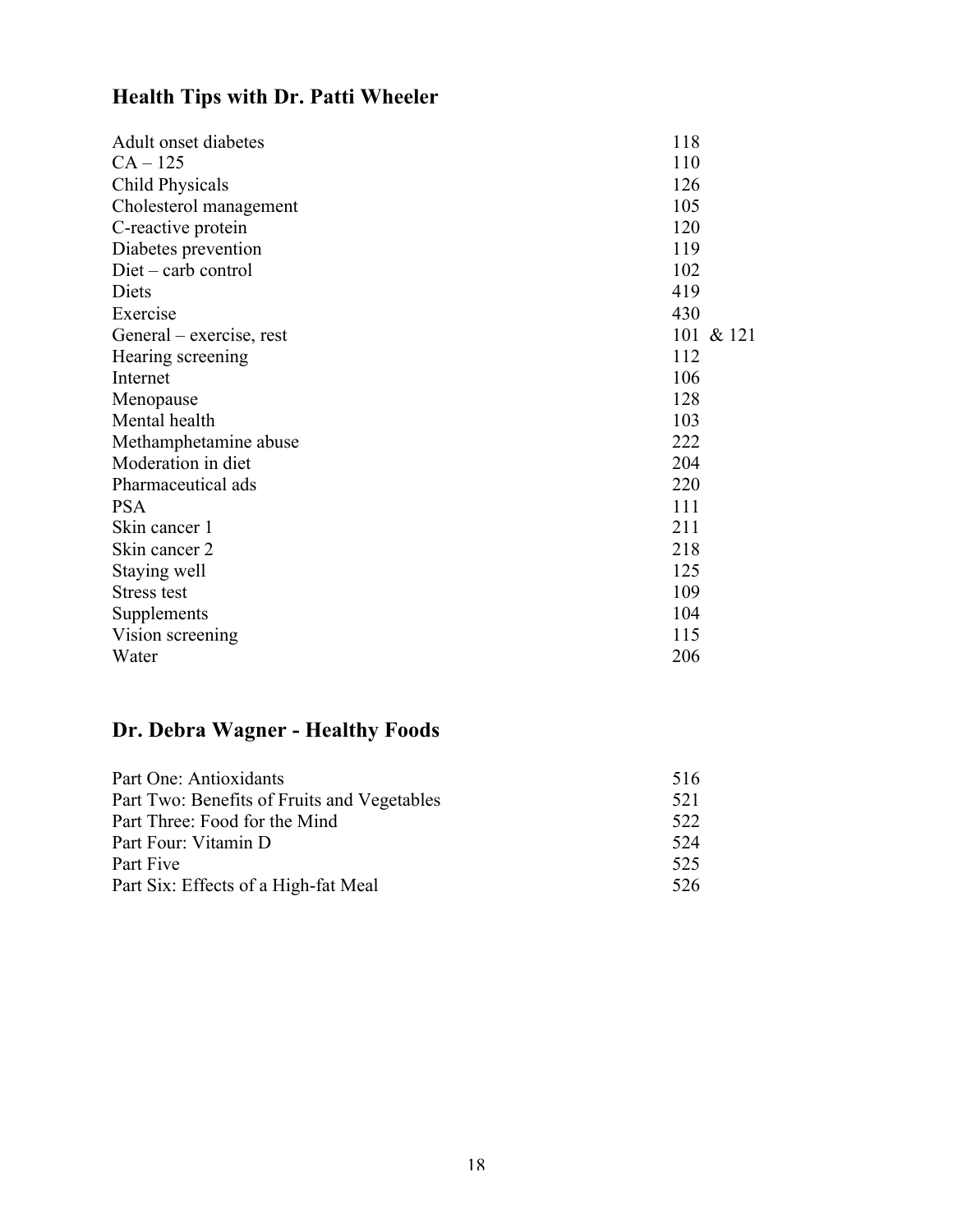# **Health Tips with Dr. Patti Wheeler**

| Adult onset diabetes     | 118       |
|--------------------------|-----------|
| $CA - 125$               | 110       |
| <b>Child Physicals</b>   | 126       |
| Cholesterol management   | 105       |
| C-reactive protein       | 120       |
| Diabetes prevention      | 119       |
| $Diet - carb$ control    | 102       |
| Diets                    | 419       |
| Exercise                 | 430       |
| General – exercise, rest | 101 & 121 |
| Hearing screening        | 112       |
| Internet                 | 106       |
| Menopause                | 128       |
| Mental health            | 103       |
| Methamphetamine abuse    | 222       |
| Moderation in diet       | 204       |
| Pharmaceutical ads       | 220       |
| <b>PSA</b>               | 111       |
| Skin cancer 1            | 211       |
| Skin cancer 2            | 218       |
| Staying well             | 125       |
| <b>Stress test</b>       | 109       |
| Supplements              | 104       |
| Vision screening         | 115       |
| Water                    | 206       |

# **Dr. Debra Wagner - Healthy Foods**

| Part One: Antioxidants                      | 516 |
|---------------------------------------------|-----|
| Part Two: Benefits of Fruits and Vegetables | 521 |
| Part Three: Food for the Mind               | 522 |
| Part Four: Vitamin D                        | 524 |
| Part Five                                   | 525 |
| Part Six: Effects of a High-fat Meal        | 526 |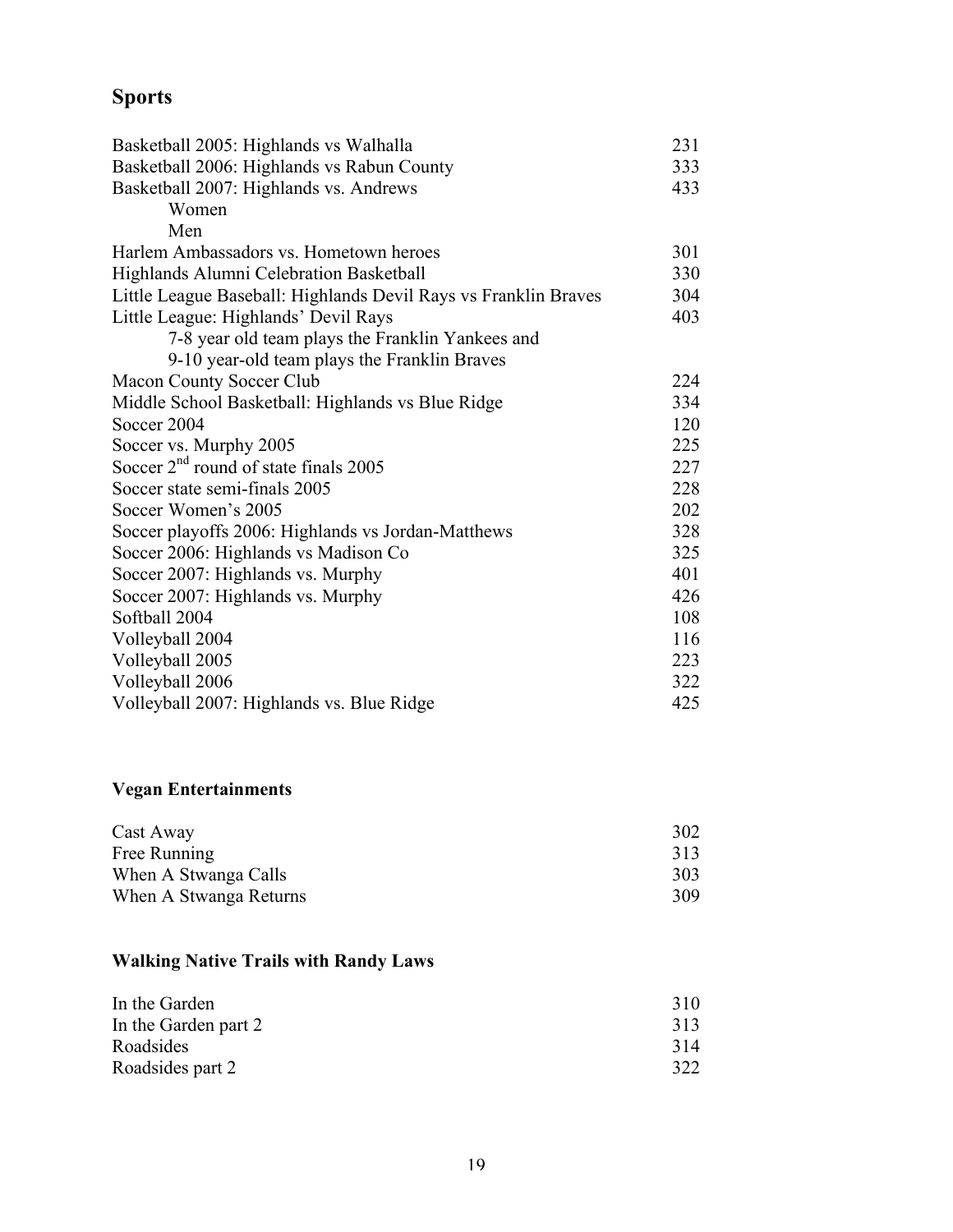# **Sports**

| Basketball 2006: Highlands vs Rabun County<br>333<br>Basketball 2007: Highlands vs. Andrews<br>433<br>Women<br>Men<br>Harlem Ambassadors vs. Hometown heroes<br>301<br>Highlands Alumni Celebration Basketball<br>330<br>Little League Baseball: Highlands Devil Rays vs Franklin Braves<br>304<br>Little League: Highlands' Devil Rays<br>403<br>7-8 year old team plays the Franklin Yankees and<br>9-10 year-old team plays the Franklin Braves<br>224<br>Macon County Soccer Club<br>Middle School Basketball: Highlands vs Blue Ridge<br>334<br>120<br>Soccer 2004<br>225<br>Soccer vs. Murphy 2005<br>Soccer $2nd$ round of state finals 2005<br>227 |
|------------------------------------------------------------------------------------------------------------------------------------------------------------------------------------------------------------------------------------------------------------------------------------------------------------------------------------------------------------------------------------------------------------------------------------------------------------------------------------------------------------------------------------------------------------------------------------------------------------------------------------------------------------|
|                                                                                                                                                                                                                                                                                                                                                                                                                                                                                                                                                                                                                                                            |
|                                                                                                                                                                                                                                                                                                                                                                                                                                                                                                                                                                                                                                                            |
|                                                                                                                                                                                                                                                                                                                                                                                                                                                                                                                                                                                                                                                            |
|                                                                                                                                                                                                                                                                                                                                                                                                                                                                                                                                                                                                                                                            |
|                                                                                                                                                                                                                                                                                                                                                                                                                                                                                                                                                                                                                                                            |
|                                                                                                                                                                                                                                                                                                                                                                                                                                                                                                                                                                                                                                                            |
|                                                                                                                                                                                                                                                                                                                                                                                                                                                                                                                                                                                                                                                            |
|                                                                                                                                                                                                                                                                                                                                                                                                                                                                                                                                                                                                                                                            |
|                                                                                                                                                                                                                                                                                                                                                                                                                                                                                                                                                                                                                                                            |
|                                                                                                                                                                                                                                                                                                                                                                                                                                                                                                                                                                                                                                                            |
|                                                                                                                                                                                                                                                                                                                                                                                                                                                                                                                                                                                                                                                            |
|                                                                                                                                                                                                                                                                                                                                                                                                                                                                                                                                                                                                                                                            |
|                                                                                                                                                                                                                                                                                                                                                                                                                                                                                                                                                                                                                                                            |
|                                                                                                                                                                                                                                                                                                                                                                                                                                                                                                                                                                                                                                                            |
|                                                                                                                                                                                                                                                                                                                                                                                                                                                                                                                                                                                                                                                            |
| Soccer state semi-finals 2005<br>228                                                                                                                                                                                                                                                                                                                                                                                                                                                                                                                                                                                                                       |
| 202<br>Soccer Women's 2005                                                                                                                                                                                                                                                                                                                                                                                                                                                                                                                                                                                                                                 |
| Soccer playoffs 2006: Highlands vs Jordan-Matthews<br>328                                                                                                                                                                                                                                                                                                                                                                                                                                                                                                                                                                                                  |
| Soccer 2006: Highlands vs Madison Co<br>325                                                                                                                                                                                                                                                                                                                                                                                                                                                                                                                                                                                                                |
| Soccer 2007: Highlands vs. Murphy<br>401                                                                                                                                                                                                                                                                                                                                                                                                                                                                                                                                                                                                                   |
| Soccer 2007: Highlands vs. Murphy<br>426                                                                                                                                                                                                                                                                                                                                                                                                                                                                                                                                                                                                                   |
| Softball 2004<br>108                                                                                                                                                                                                                                                                                                                                                                                                                                                                                                                                                                                                                                       |
| 116<br>Volleyball 2004                                                                                                                                                                                                                                                                                                                                                                                                                                                                                                                                                                                                                                     |
| Volleyball 2005<br>223                                                                                                                                                                                                                                                                                                                                                                                                                                                                                                                                                                                                                                     |
| Volleyball 2006<br>322                                                                                                                                                                                                                                                                                                                                                                                                                                                                                                                                                                                                                                     |
| Volleyball 2007: Highlands vs. Blue Ridge<br>425                                                                                                                                                                                                                                                                                                                                                                                                                                                                                                                                                                                                           |

### **Vegan Entertainments**

| Cast Away              | 302 |
|------------------------|-----|
| Free Running           | 313 |
| When A Stwanga Calls   | 303 |
| When A Stwanga Returns | 309 |

### **Walking Native Trails with Randy Laws**

| In the Garden        | 310 |
|----------------------|-----|
| In the Garden part 2 | 313 |
| Roadsides            | 314 |
| Roadsides part 2     | 322 |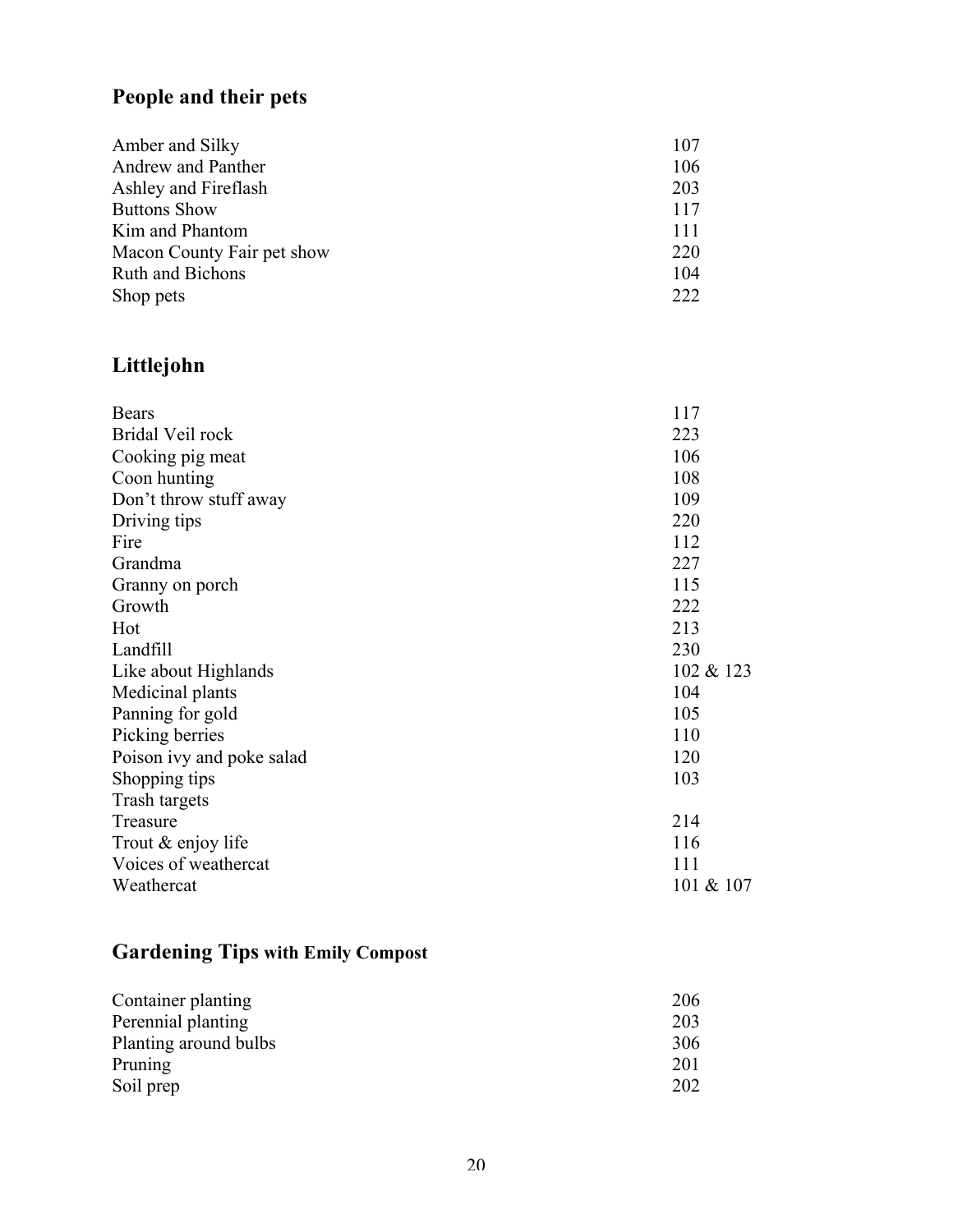# **People and their pets**

| Amber and Silky            | 107 |
|----------------------------|-----|
| Andrew and Panther         | 106 |
| Ashley and Fireflash       | 203 |
| <b>Buttons Show</b>        | 117 |
| Kim and Phantom            | 111 |
| Macon County Fair pet show | 220 |
| <b>Ruth and Bichons</b>    | 104 |
| Shop pets                  | 222 |

# **Littlejohn**

| <b>Bears</b>              | 117       |
|---------------------------|-----------|
| Bridal Veil rock          | 223       |
| Cooking pig meat          | 106       |
| Coon hunting              | 108       |
| Don't throw stuff away    | 109       |
| Driving tips              | 220       |
| Fire                      | 112       |
| Grandma                   | 227       |
| Granny on porch           | 115       |
| Growth                    | 222       |
| Hot                       | 213       |
| Landfill                  | 230       |
| Like about Highlands      | 102 & 123 |
| Medicinal plants          | 104       |
| Panning for gold          | 105       |
| Picking berries           | 110       |
| Poison ivy and poke salad | 120       |
| Shopping tips             | 103       |
| Trash targets             |           |
| Treasure                  | 214       |
| Trout & enjoy life        | 116       |
| Voices of weathercat      | 111       |
| Weathercat                | 101 & 107 |

# **Gardening Tips with Emily Compost**

| Container planting    | 206 |
|-----------------------|-----|
| Perennial planting    | 203 |
| Planting around bulbs | 306 |
| Pruning               | 201 |
| Soil prep             | 202 |